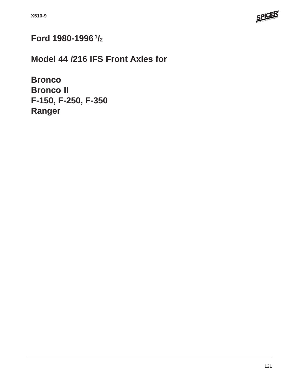

# **Ford 1980-1996 1/2**

**Model 44 /216 IFS Front Axles for**

**Bronco Bronco II F-150, F-250, F-350 Ranger**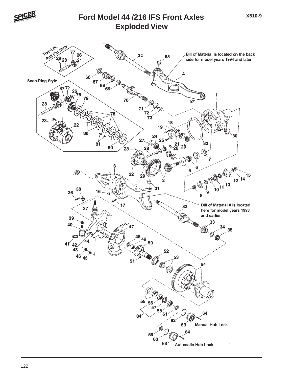

#### **Exploded View Ford Model 44 /216 IFS Front Axles**

**X510-9**

Tractok Bill of Material is located on the back side for model years 1994 and later  $\circledcirc$  $\overline{\mathbf{A}}$ **Snap Ring Style** <br>% 76 Ø  $\frac{1}{72}$ <br> $\frac{72}{73}$ 8Ó  $20^{\circ}$  $\mathbf{\hat{23}}$ ⊛ 12<sup>14</sup> Bill of Material # is located here for model years 1993 and earlier (Q  $\frac{48}{ }$ 49  $41^{42}$  $\begin{array}{c}\n 56 \\
\hline\n 57\n \end{array}$ **Manual Hub Lock**  $63<sup>2</sup>$ **Automatic Hub Lock**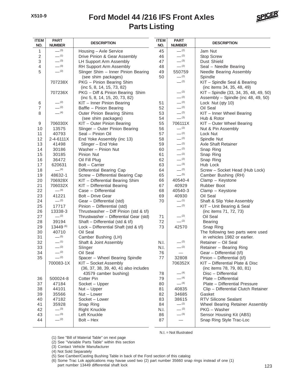

| <b>ITEM</b><br>NO.       | <b>PART</b><br><b>NUMBER</b> | <b>DESCRIPTION</b>                                             | <b>ITEM</b><br>NO. | <b>PART</b><br><b>NUMBER</b> | <b>DESCRIPTION</b>                                            |
|--------------------------|------------------------------|----------------------------------------------------------------|--------------------|------------------------------|---------------------------------------------------------------|
| 1                        | $-^{(3)}$                    | Housing - Axle Service                                         | 45                 | $-^{(2)}$                    | Jam Nut                                                       |
| $\sqrt{2}$               | $-$ (1)                      | Drive Pinion & Gear Assembly                                   | 46                 | $-^{(2)}$                    | Stop Screw                                                    |
| 3                        | $-^{(3)}$                    | LH Support Arm Assembly                                        | 47                 | $-^{(3)}$                    | Dust Shield                                                   |
| 4                        | $-^{(3)}$                    | RH Support Arm Assembly                                        | 48                 | $-^{(2)}$                    | Seal - Needle Bearing                                         |
| 5                        | $-^{(2)}$                    | Slinger Shim - Inner Pinion Bearing                            | 49                 | 550759                       | Needle Bearing Assembly                                       |
|                          |                              | (see shim packages)                                            | 50                 | $-^{(2)}$                    | Spindle                                                       |
|                          | 707238X                      | PKG - Pinion Bearing Shim<br>(inc 5, 8, 14, 15, 73, 82)        |                    | $-^{(2)}$                    | KIT - Spindle Seal & Bearing<br>(inc items 34, 35, 48, 49)    |
|                          | 707236X                      | PKG - Diff & Pinion Bearing Shim                               |                    | $-^{(2)}$                    | KIT - Spindle (33, 34, 35, 48, 49, 50)                        |
|                          |                              | (inc 5, 8, 14, 15, 20, 73, 82)                                 |                    | $-$ (2)                      | Assembly - Spindle (inc 48, 49, 50)                           |
| $\,6$                    | $-$ (2)                      | KIT - Inner Pinion Bearing                                     | 51                 | $-^{(2)}$                    | Lock Nut (qty 10)                                             |
| $\overline{\mathcal{I}}$ | $-$ (2)                      | Baffle - Pinion Bearing                                        | 52                 | $- (2)$                      | Oil Seal                                                      |
| 8                        | $- (4)$                      | Outer Pinion Bearing Shims                                     | 53                 | $-^{(2)}$                    | KIT - Inner Wheel Bearing                                     |
|                          |                              | (see shim packages)                                            | 54                 | $-^{(3)}$                    | Hub & Rotor                                                   |
| $\boldsymbol{9}$         | 706030X                      | KIT - Outer Pinion Bearing                                     | 55                 | 706111X                      | KIT - Outer Wheel Bearing                                     |
| 10                       | 13575                        | Slinger - Outer Pinion Bearing                                 | 56                 | $-^{(2)}$                    | Nut & Pin Assembly                                            |
| 11                       | 40793                        | Seal - Pinion Oil                                              | 57                 | $-^{(2)}$                    | Lock Nut                                                      |
| 12                       | 2-4-6111X                    | End Yoke Assembly (inc 13)                                     | 58                 | $-^{(2)}$                    | Spindle Nut                                                   |
| 13                       | 41498                        | Slinger - End Yoke                                             | 59                 | $-^{(2)}$                    | <b>Axle Shaft Retainer</b>                                    |
| 14                       | 30186                        | Washer - Pinion Nut                                            | 60                 | $-^{(2)}$                    | Snap Ring                                                     |
| 15                       | 30185                        | Pinion Nut                                                     | 61                 | $-^{(2)}$                    | Snap Ring                                                     |
| 16                       | 36472                        | Oil Fill Plug                                                  | 62                 | $-^{(2)}$                    | Snap Ring                                                     |
| 17                       | 620631                       | Bolt - Carrier                                                 | 63                 | $-^{(3)}$                    | Hub Lock                                                      |
| 18                       | $- (4)$                      | Differential Bearing Cap                                       | 64                 | $-^{(2)}$                    | Screw - Socket Head (Hub Lock)                                |
| 19                       | 48632-1                      | Screw - Differential Bearing Cap                               | 65                 | $-^{(5)}$                    | Camber Bushing (RH)                                           |
| 20                       | 706928X                      | KIT - Differential Bearing Shim                                | 66                 | 40540-4                      | Clamp - Keystone                                              |
| 21                       | 706032X                      | KIT - Differential Bearing                                     | 67                 | 40929                        | Rubber Boot                                                   |
| 22                       | $-$ (4)                      | Case - Differential                                            | 68                 | 40540-3                      | Clamp - Keystone                                              |
| 23                       | 41221                        | Bolt - Drive Gear                                              | 69                 | 40930                        | Oil Seal                                                      |
| 24                       | $-^{(2)}$                    | Gear - Differential (std)                                      | 70                 | $-$ (1)                      | Shaft & Slip Yoke Assembly                                    |
| 25                       | 17717                        | Pinion - Differential (std)                                    |                    | $-^{(2)}$                    | KIT - Unit Bearing & Seal                                     |
| 26                       | 13338-3                      | Thrustwasher - Diff Pinion (std & t/l)                         |                    |                              | (inc items 71, 72, 73)                                        |
| 27                       | $-^{(2)}$                    | Thrustwasher - Differential Gear (std)                         | 71                 | $-^{(2)}$                    | Oil Seal                                                      |
| 28                       | 39194                        | Shaft - Differential (std & t/l)                               | 72                 | $-^{(2)}$                    | <b>Bearing</b>                                                |
| 29                       | 13449 (6)                    | Lock - Differential Shaft (std & t/l)                          | 73                 | 42570                        | Snap Ring                                                     |
| 30                       | 40710                        | Oil Seal                                                       |                    |                              | The following two parts were used                             |
| 31                       | $-$ (5)                      | Camber Bushing (LH)                                            |                    |                              | in vehicles 1982 or earlier.                                  |
| 32                       | $-^{(1)}$                    | Shaft & Joint Assembly                                         | N.I.               | $-^{(2)}$                    | Retainer - Oil Seal                                           |
| 33                       | $-^{(2)}$                    | Slinger                                                        | N.I.               | $-^{(2)}$                    | Retainer - Bearing Ring                                       |
| 34                       | $-$ (2)                      | Oil Seal                                                       | 76                 | $\qquad \qquad -$            | Gear - Differential (t/l)                                     |
| 35                       | $-^{(2)}$                    | Spacer - Wheel Bearing Spindle                                 | 77                 | 32808                        | Pinion - Differential (t/l)                                   |
|                          | 700083-1X                    | KIT - Socket Assembly<br>(36, 37, 38, 39, 40, 41 also includes |                    | 706352X                      | KIT - Differential Plate & Disc<br>(inc items 78, 79, 80, 81) |
|                          |                              | 43579 camber bushing)                                          | 78                 | $-$ (4)                      | Disc - Differential                                           |
| 36                       | 500024-8                     | Cotter Pin                                                     | 79                 | $-$ (4)                      | Plate - Differential                                          |
| 37                       | 47184                        | Socket - Upper                                                 | 80                 | $- (4)$                      | Plate - Differential Pressure                                 |
| 38                       | 44101                        | $Nut - Upper$                                                  | 81                 | 40835                        | Clip - Differential Clutch Retainer                           |
| 39                       | 35566                        | Nut - Lower                                                    | 82                 | 34685                        | Gasket                                                        |
| 40                       | 47182                        | Socket - Lower                                                 | 83                 | 38615                        | <b>RTV Silicone Sealant</b>                                   |
| 41                       | 35928                        | Snap Ring                                                      | 84                 | $-^{(2)}$                    | Wheel Bearing Retainer Assembly                               |
| 42                       | $-^{(3)}$                    | <b>Right Knuckle</b>                                           | N.I.               | $- (2)$                      | PKG - Washer                                                  |
| 43                       | $-^{(3)}$                    | Left Knuckle                                                   | 86                 | $-^{(3)}$                    | Sensor Housing Kit (ABS)                                      |
| 44                       | $-^{(2)}$                    | Bolt - Hex                                                     | 87                 | $\overline{\phantom{0}}$     | Snap Ring Style Trac-Loc                                      |
|                          |                              |                                                                |                    |                              |                                                               |

(1) See "Bill of Material Table" on next page

(2) See "Variable Parts Table" within this section

(3) Contact Vehicle Manufacturer

(4) Not Sold Separately

(5) See Camber/Casting Bushing Table in back of the Ford section of this catalog

(6) Some Trac Lok applications may havae used two (2) part number 35660 snap rings instead of one (1) part number 13449 differential shaft lock

N.I. = Not Illustrated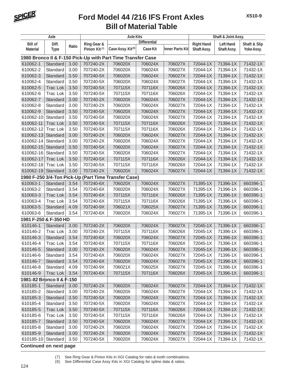

| Axle                      |                 |       |                           | <b>Axle Kits</b>                                            | Shaft & Joint Assy. |                 |                   |                  |              |
|---------------------------|-----------------|-------|---------------------------|-------------------------------------------------------------|---------------------|-----------------|-------------------|------------------|--------------|
| <b>Bill of</b>            | Diff.           |       | Ring Gear &               |                                                             | <b>Differential</b> |                 | <b>Right Hand</b> | <b>Left Hand</b> | Shaft & Slip |
| <b>Material</b>           | <b>Type</b>     | Ratio | Pinion Kit <sup>(7)</sup> | Case Assy. Kit <sup>(8)</sup>                               | Case Kit            | Inner Parts Kit | Shaft Assy.       | Shaft Assy.      | Yoke Assy.   |
|                           |                 |       |                           | 1980 Bronco II & F-150 Pick-Up with Part Time Transfer Case |                     |                 |                   |                  |              |
| 610062-1                  | Standard        | 3.00  | 707240-2X                 | 706020X                                                     | 706024X             | 706027X         | 72044-1X          | 71394-1X         | 71432-1X     |
| 610062-2                  | Standard        | 3.00  | 707240-2X                 | 706020X                                                     | 706024X             | 706027X         | 72044-1X          | 71394-1X         | 71432-1X     |
| 610062-3                  | Standard        | 3.50  | 707240-5X                 | 706020X                                                     | 706024X             | 706027X         | 72044-1X          | 71394-1X         | 71432-1X     |
| 610062-4                  | Standard        | 3.50  | 707240-5X                 | 706020X                                                     | 706024X             | 706027X         | 72044-1X          | 71394-1X         | 71432-1X     |
| 610062-5                  | <b>Trac Lok</b> | 3.50  | 707240-5X                 | 707115X                                                     | 707116X             | 706026X         | 72044-1X          | 71394-1X         | 71432-1X     |
| 610062-6                  | <b>Trac Lok</b> | 3.50  | 707240-5X                 | 707115X                                                     | 707116X             | 706026X         | 72044-1X          | 71394-1X         | 71432-1X     |
| 610062-7                  | Standard        | 3.00  | 707240-2X                 | 706020X                                                     | 706024X             | 706027X         | 72044-1X          | 71394-1X         | 71432-1X     |
| 610062-8                  | Standard        | 3.00  | 707240-2X                 | 706020X                                                     | 706024X             | 706027X         | 72044-1X          | 71394-1X         | 71432-1X     |
| 610062-9                  | Standard        | 3.50  | 707240-5X                 | 706020X                                                     | 706024X             | 706027X         | 72044-1X          | 71394-1X         | 71432-1X     |
| 610062-10                 | Standard        | 3.50  | 707240-5X                 | 706020X                                                     | 706024X             | 706027X         | 72044-1X          | 71394-1X         | 71432-1X     |
| 610062-11                 | <b>Trac Lok</b> | 3.50  | 707240-5X                 | 707115X                                                     | 707116X             | 706026X         | 72044-1X          | 71394-1X         | 71432-1X     |
| 610062-12                 | <b>Trac Lok</b> | 3.50  | 707240-5X                 | 707115X                                                     | 707116X             | 706026X         | 72044-1X          | 71394-1X         | 71432-1X     |
| 610062-13                 | Standard        | 3.00  | 707240-2X                 | 706020X                                                     | 706024X             | 706027X         | 72044-1X          | 71394-1X         | 71432-1X     |
| 610062-14                 | Standard        | 3.00  | 707240-2X                 | 706020X                                                     | 706024X             | 706027X         | 72044-1X          | 71394-1X         | 71432-1X     |
| 610062-15                 | Standard        | 3.50  | 707240-5X                 | 706020X                                                     | 706024X             | 706027X         | 72044-1X          | 71394-1X         | 71432-1X     |
| 610062-16                 | Standard        | 3.50  | 707240-5X                 | 706020X                                                     | 706024X             | 706027X         | 72044-1X          | 71394-1X         | 71432-1X     |
| 610062-17                 | <b>Trac Lok</b> | 3.50  | 707240-5X                 | 707115X                                                     | 707116X             | 706026X         | 72044-1X          | 71394-1X         | 71432-1X     |
| 610062-18                 | Trac Lok        | 3.50  | 707240-5X                 | 707115X                                                     | 707116X             | 706026X         | 72044-1X          | 71394-1X         | 71432-1X     |
| 610062-19                 | Standard        | 3.00  | 707240-2X                 | 706020X                                                     | 706024X             | 706027X         | 72044-1X          | 71394-1X         | 71432-1X     |
|                           |                 |       |                           | 1980 F-250 3/4-Ton Pick-Up (Part Time Transfer Case)        |                     |                 |                   |                  |              |
| 610063-1                  | Standard        | 3.54  | 707240-6X                 | 706020X                                                     | 706024X             | 706027X         | 71395-1X          | 71396-1X         | 660396-1     |
| 610063-2                  | Standard        | 3.54  | 707240-6X                 | 706020X                                                     | 706024X             | 706027X         | 71395-1X          | 71396-1X         | 660396-1     |
| 610063-3                  | <b>Trac Lok</b> | 3.54  | 707240-6X                 | 707115X                                                     | 707116X             | 706026X         | 71395-1X          | 71396-1X         | 660396-1     |
| 610063-4                  | <b>Trac Lok</b> | 3.54  | 707240-6X                 | 707115X                                                     | 707116X             | 706026X         | 71395-1X          | 71396-1X         | 660396-1     |
| 610063-5                  | Standard        | 4.09  | 707240-9X                 | 706021X                                                     | 706025X             | 706027X         | 71395-1X          | 71396-1X         | 660396-1     |
| 610063-6                  | Standard        | 3.54  | 707240-6X                 | 706020X                                                     | 706024X             | 706027X         | 71395-1X          | 71396-1X         | 660396-1     |
| 1981 F-250 & F-350 HD     |                 |       |                           |                                                             |                     |                 |                   |                  |              |
| 610146-1                  | Standard        | 3.00  | 707240-2X                 | 706020X                                                     | 706024X             | 706027X         | 72045-1X          | 71396-1X         | 660396-1     |
| 610146-2                  | <b>Trac Lok</b> | 3.00  | 707240-2X                 | 707115X                                                     | 707116X             | 706026X         | 72045-1X          | 71396-1X         | 660396-1     |
| 610146-3                  | Standard        | 3.54  | 707240-6X                 | 706020X                                                     | 706024X             | 706027X         | 72045-1X          | 71396-1X         | 660396-1     |
| 610146-4                  | Trac Lok        | 3.54  | 707240-6X                 | 707115X                                                     | 707116X             | 706026X         | 72045-1X          | 71396-1X         | 660396-1     |
| 610146-5                  | Standard        | 3.00  | 707240-2X                 | 706020X                                                     | 706024X             | 706027X         | 72045-1X          | 71396-1X         | 660396-1     |
| 610146-6                  | Standard        | 3.54  | 707240-6X                 | 706020X                                                     | 706024X             | 706027X         | 72045-1X          | 71396-1X         | 660396-1     |
| 610146-7                  | Standard        | 3.54  | 707240-6X                 | 706020X                                                     | 706024X             | 706027X         | 72045-1X          | 71396-1X         | 660396-1     |
| 610146-8                  | Standard        | 4.09  | 707240-9X                 | 706021X                                                     | 706025X             | 706027X         | 72045-1X          | 71396-1X         | 660396-1     |
| 610146-9                  | Trac Lok        | 3.54  | 707240-6X                 | 707115X                                                     | 707116X             | 706026X         | 72045-1X          | 71396-1X         | 660396-1     |
| 1981-82 Bronco II & F-150 |                 |       |                           |                                                             |                     |                 |                   |                  |              |
| 610185-1                  | Standard        | 3.00  | 707240-2X                 | 706020X                                                     | 706024X             | 706027X         | 72044-1X          | 71394-1X         | 71432-1X     |
| 610185-2                  | Standard        | 3.00  | 707240-2X                 | 706020X                                                     | 706024X             | 706027X         | 72044-1X          | 71394-1X         | 71432-1X     |
| 610185-3                  | Standard        | 3.50  | 707240-5X                 | 706020X                                                     | 706024X             | 706027X         | 72044-1X          | 71394-1X         | 71432-1X     |
| 610185-4                  | Standard        | 3.50  | 707240-5X                 | 706020X                                                     | 706024X             | 706027X         | 72044-1X          | 71394-1X         | 71432-1X     |
| 610185-5                  | Trac Lok        | 3.50  | 707240-5X                 | 707115X                                                     | 707116X             | 706026X         | 72044-1X          | 71394-1X         | 71432-1X     |
| 610185-6                  | Trac Lok        | 3.50  | 707240-5X                 | 707115X                                                     | 707116X             | 706026X         | 72044-1X          | 71394-1X         | 71432-1X     |
| 610185-7                  | Standard        | 3.50  | 707240-5X                 | 706020X                                                     | 706024X             | 706027X         | 72044-1X          | 71394-1X         | 71432-1X     |
| 610185-8                  | Standard        | 3.00  | 707240-2X                 | 706020X                                                     | 706024X             | 706027X         | 72044-1X          | 71394-1X         | 71432-1X     |
| 610185-9                  | Standard        | 3.00  | 707240-2X                 | 706020X                                                     | 706024X             | 706027X         | 72044-1X          | 71394-1X         | 71432-1X     |
| 610185-10                 | Standard        | 3.50  | 707240-5X                 | 706020X                                                     | 706024X             | 706027X         | 72044-1X          | 71394-1X         | 71432-1X     |
|                           |                 |       |                           |                                                             |                     |                 |                   |                  |              |

**Continued on next page**

<sup>(7)</sup> See Ring Gear & Pinion Kits in XGI Catalog for ratio & tooth combinations.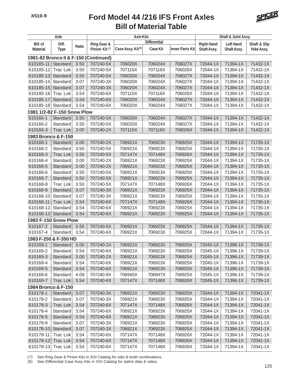

| <b>Axle Kits</b><br>Axle<br>Shaft & Joint Assy. |                 |       |                                       |                               |                     |                        |                   |                  |              |
|-------------------------------------------------|-----------------|-------|---------------------------------------|-------------------------------|---------------------|------------------------|-------------------|------------------|--------------|
| <b>Bill of</b>                                  | Diff.           |       | Ring Gear &                           |                               | <b>Differential</b> |                        | <b>Right Hand</b> | <b>Left Hand</b> | Shaft & Slip |
| <b>Material</b>                                 | <b>Type</b>     | Ratio | Pinion Kit <sup>(7)</sup>             | Case Assy. Kit <sup>(8)</sup> | <b>Case Kit</b>     | <b>Inner Parts Kit</b> | Shaft Assy.       | Shaft Assy.      | Yoke Assy.   |
|                                                 |                 |       | 1981-82 Bronco II & F-150 (Continued) |                               |                     |                        |                   |                  |              |
| 610185-11                                       | Standard        | 3.50  | 707240-5X                             | 706020X                       | 706024X             | 706027X                | 72044-1X          | 71394-1X         | 71432-1X     |
| 610185-12                                       | <b>Trac Lok</b> | 3.50  | 707240-5X                             | 707115X                       | 707116X             | 706026X                | 72044-1X          | 71394-1X         | 71432-1X     |
| 610185-13                                       | Standard        | 3.50  | 707240-5X                             | 706020X                       | 706024X             | 706027X                | 72044-1X          | 71394-1X         | 71432-1X     |
| 610185-14                                       | Standard        | 3.07  | 707240-3X                             | 706020X                       | 706024X             | 706027X                | 72044-1X          | 71394-1X         | 71432-1X     |
| 610185-15                                       | Standard        | 3.07  | 707240-3X                             | 706020X                       | 706024X             | 706027X                | 72044-1X          | 71394-1X         | 71432-1X     |
| 610185-16                                       | <b>Trac Lok</b> | 3.54  | 707240-6X                             | 707115X                       | 707116X             | 706026X                | 72044-1X          | 71394-1X         | 71432-1X     |
| 610185-17                                       | Standard        | 3.54  | 707240-6X                             | 706020X                       | 706024X             | 706027X                | 72044-1X          | 71394-1X         | 71432-1X     |
| 610185-18                                       | Standard        | 3.54  | 707240-6X                             | 706020X                       | 706024X             | 706027X                | 72044-1X          | 71394-1X         | 71432-1X     |
| 1981 1/2-82 F-150 Snow Plow                     |                 |       |                                       |                               |                     |                        |                   |                  |              |
| 610166-1                                        | Standard        | 3.50  | 707240-5X                             | 706020X                       | 706024X             | 706027X                | 72044-1X          | 71394-1X         | 71432-1X     |
| 610166-2                                        | Standard        | 3.50  | 707240-5X                             | 706020X                       | 706024X             | 706027X                | 72044-1X          | 71394-1X         | 71432-1X     |
| 610166-3                                        | <b>Trac Lok</b> | 3.00  | 707240-2X                             | 707115X                       | 707116X             | 706026X                | 72044-1X          | 71394-1X         | 71432-1X     |
| 1983 Bronco & F-150                             |                 |       |                                       |                               |                     |                        |                   |                  |              |
| 610168-1                                        | Standard        | 3.00  | 707240-2X                             | 706921X                       | 706923X             | 706925X                | 72044-1X          | 71394-1X         | 71735-1X     |
| 610168-2                                        | Standard        | 3.50  | 707240-5X                             | 706921X                       | 706923X             | 706925X                | 72044-1X          | 71394-1X         | 71735-1X     |
| 610168-3                                        | <b>Trac Lok</b> | 3.50  | 707240-5X                             | 707147X                       | 707148X             | 706926X                | 72044-1X          | 71394-1X         | 71735-1X     |
| 610168-4                                        | Standard        | 3.00  | 707240-2X                             | 706921X                       | 706923X             | 706925X                | 72044-1X          | 71394-1X         | 71735-1X     |
| 610168-5                                        | Standard        | 3.00  | 707240-2X                             | 706921X                       | 706923X             | 706925X                | 72044-1X          | 71394-1X         | 71735-1X     |
| 610168-6                                        | Standard        | 3.50  | 707240-5X                             | 706921X                       | 706923X             | 706925X                | 72044-1X          | 71394-1X         | 71735-1X     |
| 610168-7                                        | Standard        | 3.50  | 707240-5X                             | 706921X                       | 706923X             | 706925X                | 72044-1X          | 71394-1X         | 71735-1X     |
| 610168-8                                        | <b>Trac Lok</b> | 3.50  | 707240-5X                             | 707147X                       | 707148X             | 706926X                | 72044-1X          | 71394-1X         | 71735-1X     |
| 610168-9                                        | Standard        | 3.07  | 707240-3X                             | 706921X                       | 706923X             | 706925X                | 72044-1X          | 71394-1X         | 71735-1X     |
| 610168-10                                       | Standard        | 3.07  | 707240-3X                             | 706921X                       | 706923X             | 706925X                | 72044-1X          | 71394-1X         | 71735-1X     |
| 610168-11                                       | <b>Trac Lok</b> | 3.54  | 707240-6X                             | 707147X                       | 707148X             | 706926X                | 72044-1X          | 71394-1X         | 71735-1X     |
| 610168-12                                       | Standard        | 3.54  | 707240-6X                             | 706921X                       | 706923X             | 706925X                | 72044-1X          | 71394-1X         | 71735-1X     |
| 610168-13                                       | Standard        | 3.54  | 707240-6X                             | 706921X                       | 706923X             | 706925X                | 72044-1X          | 71394-1X         | 71735-1X     |
| 1983 F-150 Snow Plow                            |                 |       |                                       |                               |                     |                        |                   |                  |              |
| 610167-2                                        | Standard        | 3.50  | 707240-5X                             | 706921X                       | 706923X             | 706925X                | 72044-1X          | 71394-1X         | 71735-1X     |
| 610167-4                                        | Standard        | 3.54  | 707240-6X                             | 706921X                       | 706923X             | 706925X                | 72044-1X          | 71394-1X         | 71735-1X     |
| 1983 F-250 & F-350 HD                           |                 |       |                                       |                               |                     |                        |                   |                  |              |
| 610169-1                                        | Standard        | 3.00  | 707240-2X                             | 706921X                       | 706923X             | 706925X                | 72045-1X          | 71396-1X         | 71739-1X     |
| 610169-2                                        | Standard        | 3.54  | 707240-6X                             | 706921X                       | 706923X             | 706925X                | 72045-1X          | 71396-1X         | 71739-1X     |
| 610169-3                                        | Standard        | 3.00  | 707240-2X                             | 706921X                       | 706923X             | 706925X                | 72045-1X          | 71396-1X         | 71739-1X     |
| 610169-4                                        | Standard        | 3.54  | 707240-6X                             | 706921X                       | 706923X             | 706925X                | 72045-1X          | 71396-1X         | 71739-1X     |
| 610169-5                                        | Standard        | 3.54  | 707240-6X                             | 706921X                       | 706923X             | 706925X                | 72045-1X          | 71396-1X         | 71739-1X     |
| 610169-6                                        | Standard        | 4.09  | 707240-9X                             | 706945X                       | 706947X             | 706925X                | 72045-1X          | 71396-1X         | 71739-1X     |
| 610169-7                                        | Trac Lok        | 3.54  | 707240-6X                             | 707147X                       | 707148X             | 706926X                | 72045-1X          | 71396-1X         | 71739-1X     |
| 1984 Bronco & F-150                             |                 |       |                                       |                               |                     |                        |                   |                  |              |
| 610178-1                                        | Standard        | 3.07  | 707240-3X                             | 706921X                       | 706923X             | 706925X                | 72044-1X          | 71394-1X         | 72041-1X     |
| 610178-2                                        | Standard        | 3.07  | 707240-3X                             | 706921X                       | 706923X             | 706925X                | 72044-1X          | 71394-1X         | 72041-1X     |
| 610178-3                                        | Trac Lok        | 3.54  | 707240-6X                             | 707147X                       | 707148X             | 706926X                | 72044-1X          | 71394-1X         | 72041-1X     |
| 610178-4                                        | Standard        | 3.54  | 707240-6X                             | 706921X                       | 706923X             | 706925X                | 72044-1X          | 71394-1X         | 72041-1X     |
| 610178-5                                        | Standard        | 3.54  | 707240-6X                             | 706921X                       | 706923X             | 706925X                | 72044-1X          | 71394-1X         | 72041-1X     |
| 610178-9                                        | Standard        | 3.07  | 707240-3X                             | 706921X                       | 706923X             | 706925X                | 72044-1X          | 71394-1X         | 72041-1X     |
| 610178-10                                       | Standard        | 3.07  | 707240-3X                             | 706921X                       | 706923X             | 706925X                | 72044-1X          | 71394-1X         | 72041-1X     |
| 610178-11                                       | Trac Lok        | 3.54  | 707240-6X                             | 707147X                       | 707148X             | 706926X                | 72044-1X          | 71394-1X         | 72041-1X     |
| 610178-12                                       | Trac Lok        | 3.54  | 707240-6X                             | 707147X                       | 707148X             | 706926X                | 72044-1X          | 71394-1X         | 72041-1X     |
| 610178-13                                       | Trac Lok        | 3.54  | 707240-6X                             | 707147X                       | 707148X             | 706926X                | 72044-1X          | 71394-1X         | 72041-1X     |

(7) See Ring Gear & Pinion Kits in XGI Catalog for ratio & tooth combinations.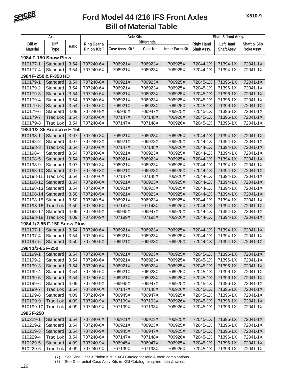

| <b>Differential</b><br><b>Bill of</b><br>Diff.<br>Ring Gear &<br><b>Right Hand</b><br><b>Left Hand</b><br>Shaft & Slip<br>Ratio<br>Case Assy. Kit <sup>(8)</sup><br>Case Kit<br>Inner Parts Kit<br>Pinion Kit <sup>(7)</sup><br>Shaft Assy.<br><b>Material</b><br>Shaft Assy.<br>Yoke Assy.<br><b>Type</b><br>1984 F-150 Snow Plow<br>610177-1<br>3.54<br>707240-6X<br>706921X<br>706923X<br>72044-1X<br>71394-1X<br>72041-1X<br>Standard<br>706925X<br>610177-4<br>3.54<br>707240-6X<br>706921X<br>706923X<br>72044-1X<br>71394-1X<br>72041-1X<br>Standard<br>706925X<br>1984 F-250 & F-350 HD<br>610179-1<br>Standard<br>3.54<br>707240-6X<br>706921X<br>706923X<br>71396-1X<br>72041-1X<br>706925X<br>72045-1X<br>610179-2<br>3.54<br>707240-6X<br>706921X<br>706923X<br>706925X<br>72045-1X<br>71396-1X<br>72041-1X<br>Standard<br>3.54<br>707240-6X<br>706921X<br>72045-1X<br>71396-1X<br>72041-1X<br>610179-3<br>Standard<br>706923X<br>706925X<br>610179-4<br>Standard<br>3.54<br>707240-6X<br>706921X<br>706923X<br>706925X<br>72045-1X<br>71396-1X<br>72041-1X<br>610179-5<br>3.54<br>707240-6X<br>706921X<br>706923X<br>706925X<br>72045-1X<br>71396-1X<br>72041-1X<br>Standard<br>610179-6<br>Standard<br>4.09<br>707240-9X<br>706945X<br>706947X<br>706925X<br>72045-1X<br>71396-1X<br>72041-1X<br>610179-7<br>707240-6X<br>707147X<br>707148X<br>706926X<br>72045-1X<br>71396-1X<br>72041-1X<br><b>Trac Lok</b><br>3.54<br>3.54<br>71396-1X<br>72041-1X<br>610179-8<br><b>Trac Lok</b><br>707240-6X<br>707147X<br>707148X<br>706926X<br>72045-1X<br>1984 1/2-85 Bronco & F-150<br>3.07<br>610198-1<br>Standard<br>707240-3X<br>706921X<br>706923X<br>706925X<br>72044-1X<br>71394-1X<br>72041-1X<br>610198-2<br>3.07<br>707240-3X<br>706921X<br>706923X<br>706925X<br>72044-1X<br>71394-1X<br>72041-1X<br>Standard<br>610198-3<br>3.54<br>707240-6X<br>707147X<br>707148X<br>706926X<br>72044-1X<br>71394-1X<br>72041-1X<br><b>Trac Lok</b><br>3.54<br>707240-6X<br>706925X<br>72044-1X<br>71394-1X<br>72041-1X<br>610198-4<br>Standard<br>706921X<br>706923X<br>610198-5<br>3.54<br>707240-6X<br>706921X<br>706923X<br>706925X<br>72044-1X<br>71394-1X<br>72041-1X<br>Standard<br>Standard<br>3.07<br>706921X<br>706923X<br>71394-1X<br>72041-1X<br>610198-9<br>707240-3X<br>706925X<br>72044-1X<br>610198-10<br>Standard<br>3.07<br>707240-3X<br>706921X<br>706923X<br>706925X<br>72044-1X<br>71394-1X<br>72041-1X<br>3.54<br>707240-6X<br>707147X<br>707148X<br>72044-1X<br>71394-1X<br>72041-1X<br>610198-11<br><b>Trac Lok</b><br>706926X<br>610198-12<br>Standard<br>3.54<br>707240-6X<br>706921X<br>706923X<br>706925X<br>72044-1X<br>71394-1X<br>72041-1X<br>3.54<br>706921X<br>610198-13<br>Standard<br>707240-6X<br>706923X<br>706925X<br>72044-1X<br>71394-1X<br>72041-1X<br>707240-5X<br>706921X<br>706923X<br>706925X<br>72044-1X<br>71394-1X<br>72041-1X<br>610198-14<br>Standard<br>3.50<br>610198-15<br>Standard<br>3.50<br>707240-5X<br>706921X<br>706923X<br>706925X<br>72044-1X<br>71394-1X<br>72041-1X<br>707147X<br>707148X<br>706926X<br>72044-1X<br>71394-1X<br>72041-1X<br>610198-16<br><b>Trac Lok</b><br>3.50<br>707240-5X<br>72044-1X<br>71394-1X<br>72041-1X<br>610198-17<br>Standard<br>4.09<br>707240-9X<br>706945X<br>706947X<br>706925X<br>72044-1X<br>71394-1X<br>72041-1X<br>610198-18<br>4.09<br>707240-9X<br>707199X<br>707193X<br>706926X<br><b>Trac Lok</b><br>1984 1/2-85 F-150 Snow Plow<br>610197-1<br>3.54<br>707240-6X<br>706921X<br>706923X<br>706925X<br>72044-1X<br>71394-1X<br>72041-1X<br>Standard<br>707240-6X<br>706921X<br>72044-1X<br>71394-1X<br>610197-4<br>Standard<br>3.54<br>706923X<br>706925X<br>72041-1X<br>3.50<br>707240-5X<br>706921X<br>72044-1X<br>71394-1X<br>72041-1X<br>610197-5<br>706923X<br>706925X<br>Standard<br>1984 1/2-85 F-250<br>706921X<br>706923X<br>706925X<br>72045-1X<br>71396-1X<br>72041-1X<br>610199-1<br>Standard<br>3.54<br>707240-6X<br>610199-2<br>Standard<br>707240-6X<br>706921X<br>706923X<br>706925X<br>72045-1X<br>71396-1X<br>72041-1X<br>3.54<br>706921X<br>706925X<br>72045-1X<br>71396-1X<br>72041-1X<br>610199-3<br>Standard<br>3.54<br>707240-6X<br>706923X<br>610199-4<br>Standard<br>3.54<br>707240-6X<br>706921X<br>706923X<br>706925X<br>72045-1X<br>71396-1X<br>72041-1X<br>707240-6X<br>706921X<br>706925X<br>72045-1X<br>71396-1X<br>72041-1X<br>610199-5<br>Standard<br>3.54<br>706923X<br>610199-6<br>Standard<br>4.09<br>707240-9X<br>706945X<br>706947X<br>706925X<br>72045-1X<br>71396-1X<br>72041-1X<br>707240-6X<br>707147X<br>707148X<br>706926X<br>72045-1X<br>71396-1X<br>72041-1X<br>610199-7<br><b>Trac Lok</b><br>3.54<br>72045-1X<br>610199-8<br>Standard<br>4.09<br>707240-9X<br>706945X<br>706947X<br>706925X<br>71396-1X<br>72041-1X<br>707240-9X<br>707199X<br>706926X<br>72045-1X<br>71396-1X<br>72041-1X<br>610199-9<br><b>Trac Lok</b><br>4.09<br>707193X<br>610199-10<br><b>Trac Lok</b><br>4.09<br>707240-9X<br>707199X<br>707193X<br>706926X<br>72045-1X<br>71396-1X<br>72041-1X<br>1985 F-250 | Axle     |          |      | <b>Axle Kits</b> |         | Shaft & Joint Assy. |         |          |          |          |
|--------------------------------------------------------------------------------------------------------------------------------------------------------------------------------------------------------------------------------------------------------------------------------------------------------------------------------------------------------------------------------------------------------------------------------------------------------------------------------------------------------------------------------------------------------------------------------------------------------------------------------------------------------------------------------------------------------------------------------------------------------------------------------------------------------------------------------------------------------------------------------------------------------------------------------------------------------------------------------------------------------------------------------------------------------------------------------------------------------------------------------------------------------------------------------------------------------------------------------------------------------------------------------------------------------------------------------------------------------------------------------------------------------------------------------------------------------------------------------------------------------------------------------------------------------------------------------------------------------------------------------------------------------------------------------------------------------------------------------------------------------------------------------------------------------------------------------------------------------------------------------------------------------------------------------------------------------------------------------------------------------------------------------------------------------------------------------------------------------------------------------------------------------------------------------------------------------------------------------------------------------------------------------------------------------------------------------------------------------------------------------------------------------------------------------------------------------------------------------------------------------------------------------------------------------------------------------------------------------------------------------------------------------------------------------------------------------------------------------------------------------------------------------------------------------------------------------------------------------------------------------------------------------------------------------------------------------------------------------------------------------------------------------------------------------------------------------------------------------------------------------------------------------------------------------------------------------------------------------------------------------------------------------------------------------------------------------------------------------------------------------------------------------------------------------------------------------------------------------------------------------------------------------------------------------------------------------------------------------------------------------------------------------------------------------------------------------------------------------------------------------------------------------------------------------------------------------------------------------------------------------------------------------------------------------------------------------------------------------------------------------------------------------------------------------------------------------------------------------------------------------------------------------------------------------------------------------------------------------------------------------------------------------------------------------------------------------------------------------------------------------------------------------------------------------------------------------------------------------------------------------------------------------------------------------------------------------------------------------------------------------------------------------------------------------------------------------------------------------------------------------------------------------------------------------------------------------------------------------------------------------------------------------------------------------------------------------------------------------------------------------------------------------------------------|----------|----------|------|------------------|---------|---------------------|---------|----------|----------|----------|
|                                                                                                                                                                                                                                                                                                                                                                                                                                                                                                                                                                                                                                                                                                                                                                                                                                                                                                                                                                                                                                                                                                                                                                                                                                                                                                                                                                                                                                                                                                                                                                                                                                                                                                                                                                                                                                                                                                                                                                                                                                                                                                                                                                                                                                                                                                                                                                                                                                                                                                                                                                                                                                                                                                                                                                                                                                                                                                                                                                                                                                                                                                                                                                                                                                                                                                                                                                                                                                                                                                                                                                                                                                                                                                                                                                                                                                                                                                                                                                                                                                                                                                                                                                                                                                                                                                                                                                                                                                                                                                                                                                                                                                                                                                                                                                                                                                                                                                                                                                                                                                                  |          |          |      |                  |         |                     |         |          |          |          |
|                                                                                                                                                                                                                                                                                                                                                                                                                                                                                                                                                                                                                                                                                                                                                                                                                                                                                                                                                                                                                                                                                                                                                                                                                                                                                                                                                                                                                                                                                                                                                                                                                                                                                                                                                                                                                                                                                                                                                                                                                                                                                                                                                                                                                                                                                                                                                                                                                                                                                                                                                                                                                                                                                                                                                                                                                                                                                                                                                                                                                                                                                                                                                                                                                                                                                                                                                                                                                                                                                                                                                                                                                                                                                                                                                                                                                                                                                                                                                                                                                                                                                                                                                                                                                                                                                                                                                                                                                                                                                                                                                                                                                                                                                                                                                                                                                                                                                                                                                                                                                                                  |          |          |      |                  |         |                     |         |          |          |          |
|                                                                                                                                                                                                                                                                                                                                                                                                                                                                                                                                                                                                                                                                                                                                                                                                                                                                                                                                                                                                                                                                                                                                                                                                                                                                                                                                                                                                                                                                                                                                                                                                                                                                                                                                                                                                                                                                                                                                                                                                                                                                                                                                                                                                                                                                                                                                                                                                                                                                                                                                                                                                                                                                                                                                                                                                                                                                                                                                                                                                                                                                                                                                                                                                                                                                                                                                                                                                                                                                                                                                                                                                                                                                                                                                                                                                                                                                                                                                                                                                                                                                                                                                                                                                                                                                                                                                                                                                                                                                                                                                                                                                                                                                                                                                                                                                                                                                                                                                                                                                                                                  |          |          |      |                  |         |                     |         |          |          |          |
|                                                                                                                                                                                                                                                                                                                                                                                                                                                                                                                                                                                                                                                                                                                                                                                                                                                                                                                                                                                                                                                                                                                                                                                                                                                                                                                                                                                                                                                                                                                                                                                                                                                                                                                                                                                                                                                                                                                                                                                                                                                                                                                                                                                                                                                                                                                                                                                                                                                                                                                                                                                                                                                                                                                                                                                                                                                                                                                                                                                                                                                                                                                                                                                                                                                                                                                                                                                                                                                                                                                                                                                                                                                                                                                                                                                                                                                                                                                                                                                                                                                                                                                                                                                                                                                                                                                                                                                                                                                                                                                                                                                                                                                                                                                                                                                                                                                                                                                                                                                                                                                  |          |          |      |                  |         |                     |         |          |          |          |
|                                                                                                                                                                                                                                                                                                                                                                                                                                                                                                                                                                                                                                                                                                                                                                                                                                                                                                                                                                                                                                                                                                                                                                                                                                                                                                                                                                                                                                                                                                                                                                                                                                                                                                                                                                                                                                                                                                                                                                                                                                                                                                                                                                                                                                                                                                                                                                                                                                                                                                                                                                                                                                                                                                                                                                                                                                                                                                                                                                                                                                                                                                                                                                                                                                                                                                                                                                                                                                                                                                                                                                                                                                                                                                                                                                                                                                                                                                                                                                                                                                                                                                                                                                                                                                                                                                                                                                                                                                                                                                                                                                                                                                                                                                                                                                                                                                                                                                                                                                                                                                                  |          |          |      |                  |         |                     |         |          |          |          |
|                                                                                                                                                                                                                                                                                                                                                                                                                                                                                                                                                                                                                                                                                                                                                                                                                                                                                                                                                                                                                                                                                                                                                                                                                                                                                                                                                                                                                                                                                                                                                                                                                                                                                                                                                                                                                                                                                                                                                                                                                                                                                                                                                                                                                                                                                                                                                                                                                                                                                                                                                                                                                                                                                                                                                                                                                                                                                                                                                                                                                                                                                                                                                                                                                                                                                                                                                                                                                                                                                                                                                                                                                                                                                                                                                                                                                                                                                                                                                                                                                                                                                                                                                                                                                                                                                                                                                                                                                                                                                                                                                                                                                                                                                                                                                                                                                                                                                                                                                                                                                                                  |          |          |      |                  |         |                     |         |          |          |          |
|                                                                                                                                                                                                                                                                                                                                                                                                                                                                                                                                                                                                                                                                                                                                                                                                                                                                                                                                                                                                                                                                                                                                                                                                                                                                                                                                                                                                                                                                                                                                                                                                                                                                                                                                                                                                                                                                                                                                                                                                                                                                                                                                                                                                                                                                                                                                                                                                                                                                                                                                                                                                                                                                                                                                                                                                                                                                                                                                                                                                                                                                                                                                                                                                                                                                                                                                                                                                                                                                                                                                                                                                                                                                                                                                                                                                                                                                                                                                                                                                                                                                                                                                                                                                                                                                                                                                                                                                                                                                                                                                                                                                                                                                                                                                                                                                                                                                                                                                                                                                                                                  |          |          |      |                  |         |                     |         |          |          |          |
|                                                                                                                                                                                                                                                                                                                                                                                                                                                                                                                                                                                                                                                                                                                                                                                                                                                                                                                                                                                                                                                                                                                                                                                                                                                                                                                                                                                                                                                                                                                                                                                                                                                                                                                                                                                                                                                                                                                                                                                                                                                                                                                                                                                                                                                                                                                                                                                                                                                                                                                                                                                                                                                                                                                                                                                                                                                                                                                                                                                                                                                                                                                                                                                                                                                                                                                                                                                                                                                                                                                                                                                                                                                                                                                                                                                                                                                                                                                                                                                                                                                                                                                                                                                                                                                                                                                                                                                                                                                                                                                                                                                                                                                                                                                                                                                                                                                                                                                                                                                                                                                  |          |          |      |                  |         |                     |         |          |          |          |
|                                                                                                                                                                                                                                                                                                                                                                                                                                                                                                                                                                                                                                                                                                                                                                                                                                                                                                                                                                                                                                                                                                                                                                                                                                                                                                                                                                                                                                                                                                                                                                                                                                                                                                                                                                                                                                                                                                                                                                                                                                                                                                                                                                                                                                                                                                                                                                                                                                                                                                                                                                                                                                                                                                                                                                                                                                                                                                                                                                                                                                                                                                                                                                                                                                                                                                                                                                                                                                                                                                                                                                                                                                                                                                                                                                                                                                                                                                                                                                                                                                                                                                                                                                                                                                                                                                                                                                                                                                                                                                                                                                                                                                                                                                                                                                                                                                                                                                                                                                                                                                                  |          |          |      |                  |         |                     |         |          |          |          |
|                                                                                                                                                                                                                                                                                                                                                                                                                                                                                                                                                                                                                                                                                                                                                                                                                                                                                                                                                                                                                                                                                                                                                                                                                                                                                                                                                                                                                                                                                                                                                                                                                                                                                                                                                                                                                                                                                                                                                                                                                                                                                                                                                                                                                                                                                                                                                                                                                                                                                                                                                                                                                                                                                                                                                                                                                                                                                                                                                                                                                                                                                                                                                                                                                                                                                                                                                                                                                                                                                                                                                                                                                                                                                                                                                                                                                                                                                                                                                                                                                                                                                                                                                                                                                                                                                                                                                                                                                                                                                                                                                                                                                                                                                                                                                                                                                                                                                                                                                                                                                                                  |          |          |      |                  |         |                     |         |          |          |          |
|                                                                                                                                                                                                                                                                                                                                                                                                                                                                                                                                                                                                                                                                                                                                                                                                                                                                                                                                                                                                                                                                                                                                                                                                                                                                                                                                                                                                                                                                                                                                                                                                                                                                                                                                                                                                                                                                                                                                                                                                                                                                                                                                                                                                                                                                                                                                                                                                                                                                                                                                                                                                                                                                                                                                                                                                                                                                                                                                                                                                                                                                                                                                                                                                                                                                                                                                                                                                                                                                                                                                                                                                                                                                                                                                                                                                                                                                                                                                                                                                                                                                                                                                                                                                                                                                                                                                                                                                                                                                                                                                                                                                                                                                                                                                                                                                                                                                                                                                                                                                                                                  |          |          |      |                  |         |                     |         |          |          |          |
|                                                                                                                                                                                                                                                                                                                                                                                                                                                                                                                                                                                                                                                                                                                                                                                                                                                                                                                                                                                                                                                                                                                                                                                                                                                                                                                                                                                                                                                                                                                                                                                                                                                                                                                                                                                                                                                                                                                                                                                                                                                                                                                                                                                                                                                                                                                                                                                                                                                                                                                                                                                                                                                                                                                                                                                                                                                                                                                                                                                                                                                                                                                                                                                                                                                                                                                                                                                                                                                                                                                                                                                                                                                                                                                                                                                                                                                                                                                                                                                                                                                                                                                                                                                                                                                                                                                                                                                                                                                                                                                                                                                                                                                                                                                                                                                                                                                                                                                                                                                                                                                  |          |          |      |                  |         |                     |         |          |          |          |
|                                                                                                                                                                                                                                                                                                                                                                                                                                                                                                                                                                                                                                                                                                                                                                                                                                                                                                                                                                                                                                                                                                                                                                                                                                                                                                                                                                                                                                                                                                                                                                                                                                                                                                                                                                                                                                                                                                                                                                                                                                                                                                                                                                                                                                                                                                                                                                                                                                                                                                                                                                                                                                                                                                                                                                                                                                                                                                                                                                                                                                                                                                                                                                                                                                                                                                                                                                                                                                                                                                                                                                                                                                                                                                                                                                                                                                                                                                                                                                                                                                                                                                                                                                                                                                                                                                                                                                                                                                                                                                                                                                                                                                                                                                                                                                                                                                                                                                                                                                                                                                                  |          |          |      |                  |         |                     |         |          |          |          |
|                                                                                                                                                                                                                                                                                                                                                                                                                                                                                                                                                                                                                                                                                                                                                                                                                                                                                                                                                                                                                                                                                                                                                                                                                                                                                                                                                                                                                                                                                                                                                                                                                                                                                                                                                                                                                                                                                                                                                                                                                                                                                                                                                                                                                                                                                                                                                                                                                                                                                                                                                                                                                                                                                                                                                                                                                                                                                                                                                                                                                                                                                                                                                                                                                                                                                                                                                                                                                                                                                                                                                                                                                                                                                                                                                                                                                                                                                                                                                                                                                                                                                                                                                                                                                                                                                                                                                                                                                                                                                                                                                                                                                                                                                                                                                                                                                                                                                                                                                                                                                                                  |          |          |      |                  |         |                     |         |          |          |          |
|                                                                                                                                                                                                                                                                                                                                                                                                                                                                                                                                                                                                                                                                                                                                                                                                                                                                                                                                                                                                                                                                                                                                                                                                                                                                                                                                                                                                                                                                                                                                                                                                                                                                                                                                                                                                                                                                                                                                                                                                                                                                                                                                                                                                                                                                                                                                                                                                                                                                                                                                                                                                                                                                                                                                                                                                                                                                                                                                                                                                                                                                                                                                                                                                                                                                                                                                                                                                                                                                                                                                                                                                                                                                                                                                                                                                                                                                                                                                                                                                                                                                                                                                                                                                                                                                                                                                                                                                                                                                                                                                                                                                                                                                                                                                                                                                                                                                                                                                                                                                                                                  |          |          |      |                  |         |                     |         |          |          |          |
|                                                                                                                                                                                                                                                                                                                                                                                                                                                                                                                                                                                                                                                                                                                                                                                                                                                                                                                                                                                                                                                                                                                                                                                                                                                                                                                                                                                                                                                                                                                                                                                                                                                                                                                                                                                                                                                                                                                                                                                                                                                                                                                                                                                                                                                                                                                                                                                                                                                                                                                                                                                                                                                                                                                                                                                                                                                                                                                                                                                                                                                                                                                                                                                                                                                                                                                                                                                                                                                                                                                                                                                                                                                                                                                                                                                                                                                                                                                                                                                                                                                                                                                                                                                                                                                                                                                                                                                                                                                                                                                                                                                                                                                                                                                                                                                                                                                                                                                                                                                                                                                  |          |          |      |                  |         |                     |         |          |          |          |
|                                                                                                                                                                                                                                                                                                                                                                                                                                                                                                                                                                                                                                                                                                                                                                                                                                                                                                                                                                                                                                                                                                                                                                                                                                                                                                                                                                                                                                                                                                                                                                                                                                                                                                                                                                                                                                                                                                                                                                                                                                                                                                                                                                                                                                                                                                                                                                                                                                                                                                                                                                                                                                                                                                                                                                                                                                                                                                                                                                                                                                                                                                                                                                                                                                                                                                                                                                                                                                                                                                                                                                                                                                                                                                                                                                                                                                                                                                                                                                                                                                                                                                                                                                                                                                                                                                                                                                                                                                                                                                                                                                                                                                                                                                                                                                                                                                                                                                                                                                                                                                                  |          |          |      |                  |         |                     |         |          |          |          |
|                                                                                                                                                                                                                                                                                                                                                                                                                                                                                                                                                                                                                                                                                                                                                                                                                                                                                                                                                                                                                                                                                                                                                                                                                                                                                                                                                                                                                                                                                                                                                                                                                                                                                                                                                                                                                                                                                                                                                                                                                                                                                                                                                                                                                                                                                                                                                                                                                                                                                                                                                                                                                                                                                                                                                                                                                                                                                                                                                                                                                                                                                                                                                                                                                                                                                                                                                                                                                                                                                                                                                                                                                                                                                                                                                                                                                                                                                                                                                                                                                                                                                                                                                                                                                                                                                                                                                                                                                                                                                                                                                                                                                                                                                                                                                                                                                                                                                                                                                                                                                                                  |          |          |      |                  |         |                     |         |          |          |          |
|                                                                                                                                                                                                                                                                                                                                                                                                                                                                                                                                                                                                                                                                                                                                                                                                                                                                                                                                                                                                                                                                                                                                                                                                                                                                                                                                                                                                                                                                                                                                                                                                                                                                                                                                                                                                                                                                                                                                                                                                                                                                                                                                                                                                                                                                                                                                                                                                                                                                                                                                                                                                                                                                                                                                                                                                                                                                                                                                                                                                                                                                                                                                                                                                                                                                                                                                                                                                                                                                                                                                                                                                                                                                                                                                                                                                                                                                                                                                                                                                                                                                                                                                                                                                                                                                                                                                                                                                                                                                                                                                                                                                                                                                                                                                                                                                                                                                                                                                                                                                                                                  |          |          |      |                  |         |                     |         |          |          |          |
|                                                                                                                                                                                                                                                                                                                                                                                                                                                                                                                                                                                                                                                                                                                                                                                                                                                                                                                                                                                                                                                                                                                                                                                                                                                                                                                                                                                                                                                                                                                                                                                                                                                                                                                                                                                                                                                                                                                                                                                                                                                                                                                                                                                                                                                                                                                                                                                                                                                                                                                                                                                                                                                                                                                                                                                                                                                                                                                                                                                                                                                                                                                                                                                                                                                                                                                                                                                                                                                                                                                                                                                                                                                                                                                                                                                                                                                                                                                                                                                                                                                                                                                                                                                                                                                                                                                                                                                                                                                                                                                                                                                                                                                                                                                                                                                                                                                                                                                                                                                                                                                  |          |          |      |                  |         |                     |         |          |          |          |
|                                                                                                                                                                                                                                                                                                                                                                                                                                                                                                                                                                                                                                                                                                                                                                                                                                                                                                                                                                                                                                                                                                                                                                                                                                                                                                                                                                                                                                                                                                                                                                                                                                                                                                                                                                                                                                                                                                                                                                                                                                                                                                                                                                                                                                                                                                                                                                                                                                                                                                                                                                                                                                                                                                                                                                                                                                                                                                                                                                                                                                                                                                                                                                                                                                                                                                                                                                                                                                                                                                                                                                                                                                                                                                                                                                                                                                                                                                                                                                                                                                                                                                                                                                                                                                                                                                                                                                                                                                                                                                                                                                                                                                                                                                                                                                                                                                                                                                                                                                                                                                                  |          |          |      |                  |         |                     |         |          |          |          |
|                                                                                                                                                                                                                                                                                                                                                                                                                                                                                                                                                                                                                                                                                                                                                                                                                                                                                                                                                                                                                                                                                                                                                                                                                                                                                                                                                                                                                                                                                                                                                                                                                                                                                                                                                                                                                                                                                                                                                                                                                                                                                                                                                                                                                                                                                                                                                                                                                                                                                                                                                                                                                                                                                                                                                                                                                                                                                                                                                                                                                                                                                                                                                                                                                                                                                                                                                                                                                                                                                                                                                                                                                                                                                                                                                                                                                                                                                                                                                                                                                                                                                                                                                                                                                                                                                                                                                                                                                                                                                                                                                                                                                                                                                                                                                                                                                                                                                                                                                                                                                                                  |          |          |      |                  |         |                     |         |          |          |          |
|                                                                                                                                                                                                                                                                                                                                                                                                                                                                                                                                                                                                                                                                                                                                                                                                                                                                                                                                                                                                                                                                                                                                                                                                                                                                                                                                                                                                                                                                                                                                                                                                                                                                                                                                                                                                                                                                                                                                                                                                                                                                                                                                                                                                                                                                                                                                                                                                                                                                                                                                                                                                                                                                                                                                                                                                                                                                                                                                                                                                                                                                                                                                                                                                                                                                                                                                                                                                                                                                                                                                                                                                                                                                                                                                                                                                                                                                                                                                                                                                                                                                                                                                                                                                                                                                                                                                                                                                                                                                                                                                                                                                                                                                                                                                                                                                                                                                                                                                                                                                                                                  |          |          |      |                  |         |                     |         |          |          |          |
|                                                                                                                                                                                                                                                                                                                                                                                                                                                                                                                                                                                                                                                                                                                                                                                                                                                                                                                                                                                                                                                                                                                                                                                                                                                                                                                                                                                                                                                                                                                                                                                                                                                                                                                                                                                                                                                                                                                                                                                                                                                                                                                                                                                                                                                                                                                                                                                                                                                                                                                                                                                                                                                                                                                                                                                                                                                                                                                                                                                                                                                                                                                                                                                                                                                                                                                                                                                                                                                                                                                                                                                                                                                                                                                                                                                                                                                                                                                                                                                                                                                                                                                                                                                                                                                                                                                                                                                                                                                                                                                                                                                                                                                                                                                                                                                                                                                                                                                                                                                                                                                  |          |          |      |                  |         |                     |         |          |          |          |
|                                                                                                                                                                                                                                                                                                                                                                                                                                                                                                                                                                                                                                                                                                                                                                                                                                                                                                                                                                                                                                                                                                                                                                                                                                                                                                                                                                                                                                                                                                                                                                                                                                                                                                                                                                                                                                                                                                                                                                                                                                                                                                                                                                                                                                                                                                                                                                                                                                                                                                                                                                                                                                                                                                                                                                                                                                                                                                                                                                                                                                                                                                                                                                                                                                                                                                                                                                                                                                                                                                                                                                                                                                                                                                                                                                                                                                                                                                                                                                                                                                                                                                                                                                                                                                                                                                                                                                                                                                                                                                                                                                                                                                                                                                                                                                                                                                                                                                                                                                                                                                                  |          |          |      |                  |         |                     |         |          |          |          |
|                                                                                                                                                                                                                                                                                                                                                                                                                                                                                                                                                                                                                                                                                                                                                                                                                                                                                                                                                                                                                                                                                                                                                                                                                                                                                                                                                                                                                                                                                                                                                                                                                                                                                                                                                                                                                                                                                                                                                                                                                                                                                                                                                                                                                                                                                                                                                                                                                                                                                                                                                                                                                                                                                                                                                                                                                                                                                                                                                                                                                                                                                                                                                                                                                                                                                                                                                                                                                                                                                                                                                                                                                                                                                                                                                                                                                                                                                                                                                                                                                                                                                                                                                                                                                                                                                                                                                                                                                                                                                                                                                                                                                                                                                                                                                                                                                                                                                                                                                                                                                                                  |          |          |      |                  |         |                     |         |          |          |          |
|                                                                                                                                                                                                                                                                                                                                                                                                                                                                                                                                                                                                                                                                                                                                                                                                                                                                                                                                                                                                                                                                                                                                                                                                                                                                                                                                                                                                                                                                                                                                                                                                                                                                                                                                                                                                                                                                                                                                                                                                                                                                                                                                                                                                                                                                                                                                                                                                                                                                                                                                                                                                                                                                                                                                                                                                                                                                                                                                                                                                                                                                                                                                                                                                                                                                                                                                                                                                                                                                                                                                                                                                                                                                                                                                                                                                                                                                                                                                                                                                                                                                                                                                                                                                                                                                                                                                                                                                                                                                                                                                                                                                                                                                                                                                                                                                                                                                                                                                                                                                                                                  |          |          |      |                  |         |                     |         |          |          |          |
|                                                                                                                                                                                                                                                                                                                                                                                                                                                                                                                                                                                                                                                                                                                                                                                                                                                                                                                                                                                                                                                                                                                                                                                                                                                                                                                                                                                                                                                                                                                                                                                                                                                                                                                                                                                                                                                                                                                                                                                                                                                                                                                                                                                                                                                                                                                                                                                                                                                                                                                                                                                                                                                                                                                                                                                                                                                                                                                                                                                                                                                                                                                                                                                                                                                                                                                                                                                                                                                                                                                                                                                                                                                                                                                                                                                                                                                                                                                                                                                                                                                                                                                                                                                                                                                                                                                                                                                                                                                                                                                                                                                                                                                                                                                                                                                                                                                                                                                                                                                                                                                  |          |          |      |                  |         |                     |         |          |          |          |
|                                                                                                                                                                                                                                                                                                                                                                                                                                                                                                                                                                                                                                                                                                                                                                                                                                                                                                                                                                                                                                                                                                                                                                                                                                                                                                                                                                                                                                                                                                                                                                                                                                                                                                                                                                                                                                                                                                                                                                                                                                                                                                                                                                                                                                                                                                                                                                                                                                                                                                                                                                                                                                                                                                                                                                                                                                                                                                                                                                                                                                                                                                                                                                                                                                                                                                                                                                                                                                                                                                                                                                                                                                                                                                                                                                                                                                                                                                                                                                                                                                                                                                                                                                                                                                                                                                                                                                                                                                                                                                                                                                                                                                                                                                                                                                                                                                                                                                                                                                                                                                                  |          |          |      |                  |         |                     |         |          |          |          |
|                                                                                                                                                                                                                                                                                                                                                                                                                                                                                                                                                                                                                                                                                                                                                                                                                                                                                                                                                                                                                                                                                                                                                                                                                                                                                                                                                                                                                                                                                                                                                                                                                                                                                                                                                                                                                                                                                                                                                                                                                                                                                                                                                                                                                                                                                                                                                                                                                                                                                                                                                                                                                                                                                                                                                                                                                                                                                                                                                                                                                                                                                                                                                                                                                                                                                                                                                                                                                                                                                                                                                                                                                                                                                                                                                                                                                                                                                                                                                                                                                                                                                                                                                                                                                                                                                                                                                                                                                                                                                                                                                                                                                                                                                                                                                                                                                                                                                                                                                                                                                                                  |          |          |      |                  |         |                     |         |          |          |          |
|                                                                                                                                                                                                                                                                                                                                                                                                                                                                                                                                                                                                                                                                                                                                                                                                                                                                                                                                                                                                                                                                                                                                                                                                                                                                                                                                                                                                                                                                                                                                                                                                                                                                                                                                                                                                                                                                                                                                                                                                                                                                                                                                                                                                                                                                                                                                                                                                                                                                                                                                                                                                                                                                                                                                                                                                                                                                                                                                                                                                                                                                                                                                                                                                                                                                                                                                                                                                                                                                                                                                                                                                                                                                                                                                                                                                                                                                                                                                                                                                                                                                                                                                                                                                                                                                                                                                                                                                                                                                                                                                                                                                                                                                                                                                                                                                                                                                                                                                                                                                                                                  |          |          |      |                  |         |                     |         |          |          |          |
|                                                                                                                                                                                                                                                                                                                                                                                                                                                                                                                                                                                                                                                                                                                                                                                                                                                                                                                                                                                                                                                                                                                                                                                                                                                                                                                                                                                                                                                                                                                                                                                                                                                                                                                                                                                                                                                                                                                                                                                                                                                                                                                                                                                                                                                                                                                                                                                                                                                                                                                                                                                                                                                                                                                                                                                                                                                                                                                                                                                                                                                                                                                                                                                                                                                                                                                                                                                                                                                                                                                                                                                                                                                                                                                                                                                                                                                                                                                                                                                                                                                                                                                                                                                                                                                                                                                                                                                                                                                                                                                                                                                                                                                                                                                                                                                                                                                                                                                                                                                                                                                  |          |          |      |                  |         |                     |         |          |          |          |
|                                                                                                                                                                                                                                                                                                                                                                                                                                                                                                                                                                                                                                                                                                                                                                                                                                                                                                                                                                                                                                                                                                                                                                                                                                                                                                                                                                                                                                                                                                                                                                                                                                                                                                                                                                                                                                                                                                                                                                                                                                                                                                                                                                                                                                                                                                                                                                                                                                                                                                                                                                                                                                                                                                                                                                                                                                                                                                                                                                                                                                                                                                                                                                                                                                                                                                                                                                                                                                                                                                                                                                                                                                                                                                                                                                                                                                                                                                                                                                                                                                                                                                                                                                                                                                                                                                                                                                                                                                                                                                                                                                                                                                                                                                                                                                                                                                                                                                                                                                                                                                                  |          |          |      |                  |         |                     |         |          |          |          |
|                                                                                                                                                                                                                                                                                                                                                                                                                                                                                                                                                                                                                                                                                                                                                                                                                                                                                                                                                                                                                                                                                                                                                                                                                                                                                                                                                                                                                                                                                                                                                                                                                                                                                                                                                                                                                                                                                                                                                                                                                                                                                                                                                                                                                                                                                                                                                                                                                                                                                                                                                                                                                                                                                                                                                                                                                                                                                                                                                                                                                                                                                                                                                                                                                                                                                                                                                                                                                                                                                                                                                                                                                                                                                                                                                                                                                                                                                                                                                                                                                                                                                                                                                                                                                                                                                                                                                                                                                                                                                                                                                                                                                                                                                                                                                                                                                                                                                                                                                                                                                                                  |          |          |      |                  |         |                     |         |          |          |          |
|                                                                                                                                                                                                                                                                                                                                                                                                                                                                                                                                                                                                                                                                                                                                                                                                                                                                                                                                                                                                                                                                                                                                                                                                                                                                                                                                                                                                                                                                                                                                                                                                                                                                                                                                                                                                                                                                                                                                                                                                                                                                                                                                                                                                                                                                                                                                                                                                                                                                                                                                                                                                                                                                                                                                                                                                                                                                                                                                                                                                                                                                                                                                                                                                                                                                                                                                                                                                                                                                                                                                                                                                                                                                                                                                                                                                                                                                                                                                                                                                                                                                                                                                                                                                                                                                                                                                                                                                                                                                                                                                                                                                                                                                                                                                                                                                                                                                                                                                                                                                                                                  |          |          |      |                  |         |                     |         |          |          |          |
|                                                                                                                                                                                                                                                                                                                                                                                                                                                                                                                                                                                                                                                                                                                                                                                                                                                                                                                                                                                                                                                                                                                                                                                                                                                                                                                                                                                                                                                                                                                                                                                                                                                                                                                                                                                                                                                                                                                                                                                                                                                                                                                                                                                                                                                                                                                                                                                                                                                                                                                                                                                                                                                                                                                                                                                                                                                                                                                                                                                                                                                                                                                                                                                                                                                                                                                                                                                                                                                                                                                                                                                                                                                                                                                                                                                                                                                                                                                                                                                                                                                                                                                                                                                                                                                                                                                                                                                                                                                                                                                                                                                                                                                                                                                                                                                                                                                                                                                                                                                                                                                  |          |          |      |                  |         |                     |         |          |          |          |
|                                                                                                                                                                                                                                                                                                                                                                                                                                                                                                                                                                                                                                                                                                                                                                                                                                                                                                                                                                                                                                                                                                                                                                                                                                                                                                                                                                                                                                                                                                                                                                                                                                                                                                                                                                                                                                                                                                                                                                                                                                                                                                                                                                                                                                                                                                                                                                                                                                                                                                                                                                                                                                                                                                                                                                                                                                                                                                                                                                                                                                                                                                                                                                                                                                                                                                                                                                                                                                                                                                                                                                                                                                                                                                                                                                                                                                                                                                                                                                                                                                                                                                                                                                                                                                                                                                                                                                                                                                                                                                                                                                                                                                                                                                                                                                                                                                                                                                                                                                                                                                                  |          |          |      |                  |         |                     |         |          |          |          |
|                                                                                                                                                                                                                                                                                                                                                                                                                                                                                                                                                                                                                                                                                                                                                                                                                                                                                                                                                                                                                                                                                                                                                                                                                                                                                                                                                                                                                                                                                                                                                                                                                                                                                                                                                                                                                                                                                                                                                                                                                                                                                                                                                                                                                                                                                                                                                                                                                                                                                                                                                                                                                                                                                                                                                                                                                                                                                                                                                                                                                                                                                                                                                                                                                                                                                                                                                                                                                                                                                                                                                                                                                                                                                                                                                                                                                                                                                                                                                                                                                                                                                                                                                                                                                                                                                                                                                                                                                                                                                                                                                                                                                                                                                                                                                                                                                                                                                                                                                                                                                                                  |          |          |      |                  |         |                     |         |          |          |          |
|                                                                                                                                                                                                                                                                                                                                                                                                                                                                                                                                                                                                                                                                                                                                                                                                                                                                                                                                                                                                                                                                                                                                                                                                                                                                                                                                                                                                                                                                                                                                                                                                                                                                                                                                                                                                                                                                                                                                                                                                                                                                                                                                                                                                                                                                                                                                                                                                                                                                                                                                                                                                                                                                                                                                                                                                                                                                                                                                                                                                                                                                                                                                                                                                                                                                                                                                                                                                                                                                                                                                                                                                                                                                                                                                                                                                                                                                                                                                                                                                                                                                                                                                                                                                                                                                                                                                                                                                                                                                                                                                                                                                                                                                                                                                                                                                                                                                                                                                                                                                                                                  |          |          |      |                  |         |                     |         |          |          |          |
|                                                                                                                                                                                                                                                                                                                                                                                                                                                                                                                                                                                                                                                                                                                                                                                                                                                                                                                                                                                                                                                                                                                                                                                                                                                                                                                                                                                                                                                                                                                                                                                                                                                                                                                                                                                                                                                                                                                                                                                                                                                                                                                                                                                                                                                                                                                                                                                                                                                                                                                                                                                                                                                                                                                                                                                                                                                                                                                                                                                                                                                                                                                                                                                                                                                                                                                                                                                                                                                                                                                                                                                                                                                                                                                                                                                                                                                                                                                                                                                                                                                                                                                                                                                                                                                                                                                                                                                                                                                                                                                                                                                                                                                                                                                                                                                                                                                                                                                                                                                                                                                  |          |          |      |                  |         |                     |         |          |          |          |
|                                                                                                                                                                                                                                                                                                                                                                                                                                                                                                                                                                                                                                                                                                                                                                                                                                                                                                                                                                                                                                                                                                                                                                                                                                                                                                                                                                                                                                                                                                                                                                                                                                                                                                                                                                                                                                                                                                                                                                                                                                                                                                                                                                                                                                                                                                                                                                                                                                                                                                                                                                                                                                                                                                                                                                                                                                                                                                                                                                                                                                                                                                                                                                                                                                                                                                                                                                                                                                                                                                                                                                                                                                                                                                                                                                                                                                                                                                                                                                                                                                                                                                                                                                                                                                                                                                                                                                                                                                                                                                                                                                                                                                                                                                                                                                                                                                                                                                                                                                                                                                                  |          |          |      |                  |         |                     |         |          |          |          |
|                                                                                                                                                                                                                                                                                                                                                                                                                                                                                                                                                                                                                                                                                                                                                                                                                                                                                                                                                                                                                                                                                                                                                                                                                                                                                                                                                                                                                                                                                                                                                                                                                                                                                                                                                                                                                                                                                                                                                                                                                                                                                                                                                                                                                                                                                                                                                                                                                                                                                                                                                                                                                                                                                                                                                                                                                                                                                                                                                                                                                                                                                                                                                                                                                                                                                                                                                                                                                                                                                                                                                                                                                                                                                                                                                                                                                                                                                                                                                                                                                                                                                                                                                                                                                                                                                                                                                                                                                                                                                                                                                                                                                                                                                                                                                                                                                                                                                                                                                                                                                                                  |          |          |      |                  |         |                     |         |          |          |          |
|                                                                                                                                                                                                                                                                                                                                                                                                                                                                                                                                                                                                                                                                                                                                                                                                                                                                                                                                                                                                                                                                                                                                                                                                                                                                                                                                                                                                                                                                                                                                                                                                                                                                                                                                                                                                                                                                                                                                                                                                                                                                                                                                                                                                                                                                                                                                                                                                                                                                                                                                                                                                                                                                                                                                                                                                                                                                                                                                                                                                                                                                                                                                                                                                                                                                                                                                                                                                                                                                                                                                                                                                                                                                                                                                                                                                                                                                                                                                                                                                                                                                                                                                                                                                                                                                                                                                                                                                                                                                                                                                                                                                                                                                                                                                                                                                                                                                                                                                                                                                                                                  |          |          |      |                  |         |                     |         |          |          |          |
|                                                                                                                                                                                                                                                                                                                                                                                                                                                                                                                                                                                                                                                                                                                                                                                                                                                                                                                                                                                                                                                                                                                                                                                                                                                                                                                                                                                                                                                                                                                                                                                                                                                                                                                                                                                                                                                                                                                                                                                                                                                                                                                                                                                                                                                                                                                                                                                                                                                                                                                                                                                                                                                                                                                                                                                                                                                                                                                                                                                                                                                                                                                                                                                                                                                                                                                                                                                                                                                                                                                                                                                                                                                                                                                                                                                                                                                                                                                                                                                                                                                                                                                                                                                                                                                                                                                                                                                                                                                                                                                                                                                                                                                                                                                                                                                                                                                                                                                                                                                                                                                  |          |          |      |                  |         |                     |         |          |          |          |
|                                                                                                                                                                                                                                                                                                                                                                                                                                                                                                                                                                                                                                                                                                                                                                                                                                                                                                                                                                                                                                                                                                                                                                                                                                                                                                                                                                                                                                                                                                                                                                                                                                                                                                                                                                                                                                                                                                                                                                                                                                                                                                                                                                                                                                                                                                                                                                                                                                                                                                                                                                                                                                                                                                                                                                                                                                                                                                                                                                                                                                                                                                                                                                                                                                                                                                                                                                                                                                                                                                                                                                                                                                                                                                                                                                                                                                                                                                                                                                                                                                                                                                                                                                                                                                                                                                                                                                                                                                                                                                                                                                                                                                                                                                                                                                                                                                                                                                                                                                                                                                                  |          |          |      |                  |         |                     |         |          |          |          |
|                                                                                                                                                                                                                                                                                                                                                                                                                                                                                                                                                                                                                                                                                                                                                                                                                                                                                                                                                                                                                                                                                                                                                                                                                                                                                                                                                                                                                                                                                                                                                                                                                                                                                                                                                                                                                                                                                                                                                                                                                                                                                                                                                                                                                                                                                                                                                                                                                                                                                                                                                                                                                                                                                                                                                                                                                                                                                                                                                                                                                                                                                                                                                                                                                                                                                                                                                                                                                                                                                                                                                                                                                                                                                                                                                                                                                                                                                                                                                                                                                                                                                                                                                                                                                                                                                                                                                                                                                                                                                                                                                                                                                                                                                                                                                                                                                                                                                                                                                                                                                                                  |          |          |      |                  |         |                     |         |          |          |          |
|                                                                                                                                                                                                                                                                                                                                                                                                                                                                                                                                                                                                                                                                                                                                                                                                                                                                                                                                                                                                                                                                                                                                                                                                                                                                                                                                                                                                                                                                                                                                                                                                                                                                                                                                                                                                                                                                                                                                                                                                                                                                                                                                                                                                                                                                                                                                                                                                                                                                                                                                                                                                                                                                                                                                                                                                                                                                                                                                                                                                                                                                                                                                                                                                                                                                                                                                                                                                                                                                                                                                                                                                                                                                                                                                                                                                                                                                                                                                                                                                                                                                                                                                                                                                                                                                                                                                                                                                                                                                                                                                                                                                                                                                                                                                                                                                                                                                                                                                                                                                                                                  | 610229-1 | Standard | 3.54 | 707240-6X        | 706921X | 706923X             | 706925X | 72045-1X | 71396-1X | 72041-1X |
| 72045-1X<br>71396-1X<br>610229-2<br>Standard<br>3.54<br>707240-6X<br>706921X<br>706923X<br>706925X<br>72041-1X                                                                                                                                                                                                                                                                                                                                                                                                                                                                                                                                                                                                                                                                                                                                                                                                                                                                                                                                                                                                                                                                                                                                                                                                                                                                                                                                                                                                                                                                                                                                                                                                                                                                                                                                                                                                                                                                                                                                                                                                                                                                                                                                                                                                                                                                                                                                                                                                                                                                                                                                                                                                                                                                                                                                                                                                                                                                                                                                                                                                                                                                                                                                                                                                                                                                                                                                                                                                                                                                                                                                                                                                                                                                                                                                                                                                                                                                                                                                                                                                                                                                                                                                                                                                                                                                                                                                                                                                                                                                                                                                                                                                                                                                                                                                                                                                                                                                                                                                   |          |          |      |                  |         |                     |         |          |          |          |
| 610229-3<br>72045-1X<br>71396-1X<br>Standard<br>3.54<br>707240-9X<br>706945X<br>706947X<br>706925X<br>72041-1X                                                                                                                                                                                                                                                                                                                                                                                                                                                                                                                                                                                                                                                                                                                                                                                                                                                                                                                                                                                                                                                                                                                                                                                                                                                                                                                                                                                                                                                                                                                                                                                                                                                                                                                                                                                                                                                                                                                                                                                                                                                                                                                                                                                                                                                                                                                                                                                                                                                                                                                                                                                                                                                                                                                                                                                                                                                                                                                                                                                                                                                                                                                                                                                                                                                                                                                                                                                                                                                                                                                                                                                                                                                                                                                                                                                                                                                                                                                                                                                                                                                                                                                                                                                                                                                                                                                                                                                                                                                                                                                                                                                                                                                                                                                                                                                                                                                                                                                                   |          |          |      |                  |         |                     |         |          |          |          |
| 610229-4<br>Trac Lok<br>3.54<br>707240-6X<br>707147X<br>707148X<br>706926X<br>72045-1X<br>71396-1X<br>72041-1X                                                                                                                                                                                                                                                                                                                                                                                                                                                                                                                                                                                                                                                                                                                                                                                                                                                                                                                                                                                                                                                                                                                                                                                                                                                                                                                                                                                                                                                                                                                                                                                                                                                                                                                                                                                                                                                                                                                                                                                                                                                                                                                                                                                                                                                                                                                                                                                                                                                                                                                                                                                                                                                                                                                                                                                                                                                                                                                                                                                                                                                                                                                                                                                                                                                                                                                                                                                                                                                                                                                                                                                                                                                                                                                                                                                                                                                                                                                                                                                                                                                                                                                                                                                                                                                                                                                                                                                                                                                                                                                                                                                                                                                                                                                                                                                                                                                                                                                                   |          |          |      |                  |         |                     |         |          |          |          |
| 610229-5<br>4.09<br>707240-9X<br>706945X<br>706947X<br>706925X<br>72045-1X<br>71396-1X<br>72041-1X<br>Standard                                                                                                                                                                                                                                                                                                                                                                                                                                                                                                                                                                                                                                                                                                                                                                                                                                                                                                                                                                                                                                                                                                                                                                                                                                                                                                                                                                                                                                                                                                                                                                                                                                                                                                                                                                                                                                                                                                                                                                                                                                                                                                                                                                                                                                                                                                                                                                                                                                                                                                                                                                                                                                                                                                                                                                                                                                                                                                                                                                                                                                                                                                                                                                                                                                                                                                                                                                                                                                                                                                                                                                                                                                                                                                                                                                                                                                                                                                                                                                                                                                                                                                                                                                                                                                                                                                                                                                                                                                                                                                                                                                                                                                                                                                                                                                                                                                                                                                                                   |          |          |      |                  |         |                     |         |          |          |          |
| 610229-6<br>Trac Lok<br>4.09<br>707240-9X<br>707199X<br>707193X<br>706926X<br>72045-1X<br>71396-1X<br>72041-1X                                                                                                                                                                                                                                                                                                                                                                                                                                                                                                                                                                                                                                                                                                                                                                                                                                                                                                                                                                                                                                                                                                                                                                                                                                                                                                                                                                                                                                                                                                                                                                                                                                                                                                                                                                                                                                                                                                                                                                                                                                                                                                                                                                                                                                                                                                                                                                                                                                                                                                                                                                                                                                                                                                                                                                                                                                                                                                                                                                                                                                                                                                                                                                                                                                                                                                                                                                                                                                                                                                                                                                                                                                                                                                                                                                                                                                                                                                                                                                                                                                                                                                                                                                                                                                                                                                                                                                                                                                                                                                                                                                                                                                                                                                                                                                                                                                                                                                                                   |          |          |      |                  |         |                     |         |          |          |          |

(7) See Ring Gear & Pinion Kits in XGI Catalog for ratio & tooth combinations.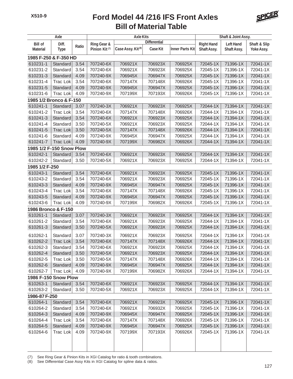

| Axle                     |                             |              | <b>Axle Kits</b>          |                               | Shaft & Joint Assy. |                        |                      |                      |                      |
|--------------------------|-----------------------------|--------------|---------------------------|-------------------------------|---------------------|------------------------|----------------------|----------------------|----------------------|
| <b>Bill of</b>           | Diff.                       |              | Ring Gear &               |                               | <b>Differential</b> |                        | <b>Right Hand</b>    | <b>Left Hand</b>     | Shaft & Slip         |
| <b>Material</b>          | <b>Type</b>                 | Ratio        | Pinion Kit <sup>(7)</sup> | Case Assy. Kit <sup>(8)</sup> | <b>Case Kit</b>     | <b>Inner Parts Kit</b> | <b>Shaft Assy.</b>   | Shaft Assy.          | Yoke Assy.           |
| 1985 F-250 & F-350 HD    |                             |              |                           |                               |                     |                        |                      |                      |                      |
| 610231-1                 | Standard                    | 3.54         | 707240-6X                 | 706921X                       | 706923X             | 706925X                | 72045-1X             | 71396-1X             | 72041-1X             |
| 610231-2                 | Standard                    | 3.54         | 707240-6X                 | 706921X                       | 706923X             | 706925X                | 72045-1X             | 71396-1X             | 72041-1X             |
| 610231-3                 | Standard                    | 4.09         | 707240-9X                 | 706945X                       | 706947X             | 706925X                | 72045-1X             | 71396-1X             | 72041-1X             |
| 610231-4                 | <b>Trac Lok</b>             | 3.54         | 707240-6X                 | 707147X                       | 707148X             | 706926X                | 72045-1X             | 71396-1X             | 72041-1X             |
| 610231-5                 | Standard                    | 4.09         | 707240-9X                 | 706945X                       | 706947X             | 706925X                | 72045-1X             | 71396-1X             | 72041-1X             |
| 610231-6                 | <b>Trac Lok</b>             | 4.09         | 707240-9X                 | 707199X                       | 707193X             | 706926X                | 72045-1X             | 71396-1X             | 72041-1X             |
| 1985 1/2 Bronco & F-150  |                             |              |                           |                               |                     |                        |                      |                      |                      |
| 610241-1                 | Standard                    | 3.07         | 707240-3X                 | 706921X                       | 706923X             | 706925X                | 72044-1X             | 71394-1X             | 72041-1X             |
| 610241-2                 | <b>Trac Lok</b>             | 3.54         | 707240-6X                 | 707147X                       | 707148X             | 706926X                | 72044-1X             | 71394-1X             | 72041-1X             |
| 610241-3                 | Standard                    | 3.54         | 707240-6X                 | 706921X                       | 706923X             | 706925X                | 72044-1X             | 71394-1X             | 72041-1X             |
| 610241-4                 | Standard                    | 3.50         | 707240-5X                 | 706921X                       | 706923X             | 706925X                | 72044-1X             | 71394-1X             | 72041-1X             |
| 610241-5                 | <b>Trac Lok</b>             | 3.50         | 707240-5X                 | 707147X                       | 707148X             | 706926X                | 72044-1X             | 71394-1X             | 72041-1X             |
| 610241-6                 | Standard                    | 4.09         | 707240-9X                 | 706945X                       | 706947X             | 706925X                | 72044-1X             | 71394-1X             | 72041-1X             |
| 610241-7                 | <b>Trac Lok</b>             | 4.09         | 707240-9X                 | 707199X                       | 706982X             | 706926X                | 72044-1X             | 71394-1X             | 72041-1X             |
| 1985 1/2 F-150 Snow Plow |                             |              |                           |                               |                     |                        |                      |                      |                      |
| 610242-1                 | Standard                    | 3.54         | 707240-6X                 | 706921X                       | 706923X             | 706925X                | 72044-1X             | 71394-1X             | 72041-1X             |
| 610242-2                 | Standard                    | 3.50         | 707240-5X                 | 706921X                       | 706923X             | 706925X                | 72044-1X             | 71394-1X             | 72041-1X             |
| 1985 1/2 F-250           |                             |              |                           |                               |                     |                        |                      |                      |                      |
| 610243-1                 | Standard                    | 3.54         | 707240-6X                 | 706921X                       | 706923X             | 706925X                | 72045-1X             | 71396-1X             | 72041-1X             |
| 610243-2                 | Standard                    | 3.54         | 707240-6X                 | 706921X                       | 706923X             | 706925X                | 72045-1X             | 71396-1X             | 72041-1X             |
| 610243-3                 | Standard                    | 4.09         | 707240-9X                 | 706945X                       | 706947X             | 706925X                | 72045-1X             | 71396-1X             | 72041-1X             |
| 610243-4                 | <b>Trac Lok</b>             | 3.54         | 707240-6X                 | 707147X                       | 707148X             | 706926X                | 72045-1X             | 71396-1X             | 72041-1X             |
| 610243-5                 | Standard                    | 4.09         | 707240-9X                 | 706945X                       | 706947X             | 706925X                | 72045-1X             | 71396-1X             | 72041-1X             |
| 610243-6                 | <b>Trac Lok</b>             | 4.09         | 707240-9X                 | 707199X                       | 706982X             | 706926X                | 72045-1X             | 71396-1X             | 72041-1X             |
| 1986 Bronco & F-150      |                             |              |                           |                               |                     |                        |                      |                      |                      |
| 610261-1                 | Standard                    | 3.07         | 707240-3X                 | 706921X                       | 706923X             | 706925X                | 72044-1X             | 71394-1X             | 72041-1X             |
| 610261-2                 | Standard                    | 3.54         | 707240-6X                 | 706921X                       | 706923X             | 706925X                | 72044-1X             | 71394-1X             | 72041-1X             |
| 610261-3                 | Standard                    | 3.50         | 707240-5X                 | 706921X                       | 706923X             | 706925X                | 72044-1X             | 71394-1X             | 72041-1X             |
|                          |                             |              |                           |                               |                     |                        |                      |                      |                      |
| 610262-1                 | Standard<br><b>Trac Lok</b> | 3.07         | 707240-3X                 | 706921X                       | 706923X             | 706925X                | 72044-1X             | 71394-1X             | 72041-1X<br>72041-1X |
| 610262-2                 |                             | 3.54<br>3.54 | 707240-6X<br>707240-6X    | 707147X<br>706921X            | 707148X<br>706923X  | 706926X                | 72044-1X<br>72044-1X | 71394-1X<br>71394-1X | 72041-1X             |
| 610262-3<br>610262-4     | Standard<br>Standard        |              | 707240-5X                 | 706921X                       | 706923X             | 706925X<br>706925X     | 72044-1X             | 71394-1X             | 72041-1X             |
| 610262-5                 | <b>Trac Lok</b>             | 3.50<br>3.50 | 707240-5X                 | 707147X                       | 707148X             | 706926X                | 72044-1X             | 71394-1X             | 72041-1X             |
| 610262-6                 |                             | 4.09         | 707240-9X                 | 706945X                       | 706947X             | 706925X                | 72044-1X             | 71394-1X             | 72041-1X             |
| 610262-7                 | Standard<br>Trac Lok        | 4.09         | 707240-9X                 | 707199X                       | 706982X             | 706926X                | 72044-1X             | 71394-1X             | 72041-1X             |
| 1986 F-150 Snow Plow     |                             |              |                           |                               |                     |                        |                      |                      |                      |
| 610263-1                 |                             |              |                           |                               |                     |                        | 72044-1X             | 71394-1X             | 72041-1X             |
|                          | Standard                    | 3.54         | 707240-6X                 | 706921X                       | 706923X             | 706925X<br>706925X     |                      |                      | 72041-1X             |
| 610263-2                 | Standard                    | 3.50         | 707240-5X                 | 706921X                       | 706923X             |                        | 72044-1X             | 71394-1X             |                      |
| 1986-87 F-250            |                             |              |                           |                               |                     |                        |                      |                      |                      |
| 610264-1                 | Standard                    | 3.54         | 707240-6X                 | 706921X                       | 706923X             | 706925X                | 72045-1X             | 71396-1X             | 72041-1X             |
| 610264-2                 | Standard                    | 3.54         | 707240-6X                 | 706921X                       | 706932X             | 706925X                | 72045-1X             | 71396-1X             | 72041-1X             |
| 610264-3                 | Standard                    | 4.09         | 707240-9X                 | 706945X                       | 706947X             | 706925X                | 72045-1X             | 71396-1X             | 72041-1X             |
| 610264-4                 | <b>Trac Lok</b>             | 3.54         | 707240-6X                 | 707147X                       | 707148X             | 706926X                | 72045-1X             | 71396-1X             | 72041-1X             |
| 610264-5                 | Standard                    | 4.09         | 707240-9X                 | 706945X                       | 706947X             | 706925X                | 72045-1X             | 71396-1X             | 72041-1X             |
| 610264-6                 | <b>Trac Lok</b>             | 4.09         | 707240-9X                 | 707199X                       | 707193X             | 706926X                | 72045-1X             | 71396-1X             | 72041-1X             |
|                          |                             |              |                           |                               |                     |                        |                      |                      |                      |
|                          |                             |              |                           |                               |                     |                        |                      |                      |                      |

(7) See Ring Gear & Pinion Kits in XGI Catalog for ratio & tooth combinations.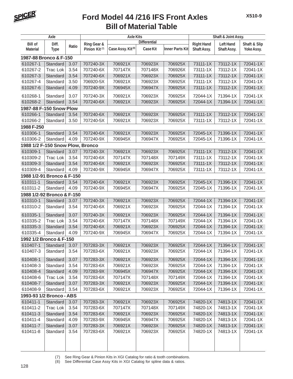

|                                  | Axle                       | <b>Axle Kits</b><br>Shaft & Joint Assy. |                           |                               |                     |                        |                   |                    |              |
|----------------------------------|----------------------------|-----------------------------------------|---------------------------|-------------------------------|---------------------|------------------------|-------------------|--------------------|--------------|
| <b>Bill of</b>                   | Diff.                      |                                         | Ring Gear &               |                               | <b>Differential</b> |                        | <b>Right Hand</b> | <b>Left Hand</b>   | Shaft & Slip |
| <b>Material</b>                  | <b>Type</b>                | Ratio                                   | Pinion Kit <sup>(7)</sup> | Case Assy. Kit <sup>(8)</sup> | <b>Case Kit</b>     | <b>Inner Parts Kit</b> | Shaft Assy.       | <b>Shaft Assy.</b> | Yoke Assy.   |
| 1987-88 Bronco & F-150           |                            |                                         |                           |                               |                     |                        |                   |                    |              |
| 610267-1                         | Standard                   | 3.07                                    | 707240-3X                 | 706921X                       | 706923X             | 706925X                | 73111-1X          | 73112-1X           | 72041-1X     |
| 610267-2                         | <b>Trac Lok</b>            | 3.54                                    | 707240-6X                 | 707147X                       | 707148X             | 706926X                | 73111-1X          | 73112-1X           | 72041-1X     |
| 610267-3                         | Standard                   | 3.54                                    | 707240-6X                 | 706921X                       | 706923X             | 706925X                | 73111-1X          | 73112-1X           | 72041-1X     |
| 610267-4                         | Standard                   | 3.50                                    | 706920-5X                 | 706921X                       | 706923X             | 706925X                | 73111-1X          | 73112-1X           | 72041-1X     |
| 610267-6                         | Standard                   | 4.09                                    | 707240-9X                 | 706945X                       | 706947X             | 706925X                | 73111-1X          | 73112-1X           | 72041-1X     |
| 610268-1                         | Standard                   | 3.07                                    | 707240-3X                 | 706921X                       | 706923X             | 706925X                | 72044-1X          | 71394-1X           | 72041-1X     |
| 610268-2                         | Standard                   | 3.54                                    | 707240-6X                 | 706921X                       | 706923X             | 706925X                | 72044-1X          | 71394-1X           | 72041-1X     |
| 1987-88 F-150 Snow Plow          |                            |                                         |                           |                               |                     |                        |                   |                    |              |
| 610266-1                         | Standard                   | 3.54                                    | 707240-6X                 | 706921X                       | 706923X             | 706925X                | 73111-1X          | 73112-1X           | 72041-1X     |
| 610266-2                         | Standard                   | 3.50                                    | 707240-5X                 | 706921X                       | 706923X             | 706925X                | 73111-1X          | 73112-1X           | 72041-1X     |
| 1988 F-250                       |                            |                                         |                           |                               |                     |                        |                   |                    |              |
| 610306-1                         | Standard                   | 3.54                                    | 707240-6X                 | 706921X                       | 706923X             | 706925X                | 72045-1X          | 71396-1X           | 72041-1X     |
| 610306-2                         | Standard                   | 4.09                                    | 707240-9X                 | 706945X                       | 706947X             | 706925X                | 72045-1X          | 71396-1X           | 72041-1X     |
| 1988 1/2 F-150 Snow Plow, Bronco |                            |                                         |                           |                               |                     |                        |                   |                    |              |
| 610309-1                         | Standard                   | 3.07                                    | 707240-3X                 | 706921X                       | 706923X             | 706925X                | 73111-1X          | 73112-1X           | 72041-1X     |
| 610309-2                         | <b>Trac Lok</b>            | 3.54                                    | 707240-6X                 | 707147X                       | 707148X             | 707149X                | 73111-1X          | 73112-1X           | 72041-1X     |
| 610309-3                         | Standard                   | 3.54                                    | 707240-6X                 | 706921X                       | 706923X             | 706925X                | 73111-1X          | 73112-1X           | 72041-1X     |
| 610309-4                         | Standard                   | 4.09                                    | 707240-9X                 | 706945X                       | 706947X             | 706925X                | 73111-1X          | 73112-1X           | 72041-1X     |
|                                  | 1988 1/2-91 Bronco & F-150 |                                         |                           |                               |                     |                        |                   |                    |              |
| 610311-1                         | Standard                   | 3.54                                    | 707240-6X                 | 706921X                       | 706923X             | 706925X                | 72045-1X          | 71396-1X           | 72041-1X     |
| 610311-2                         | Standard                   | 4.09                                    | 707240-9X                 | 706945X                       | 706947X             | 706925X                | 72045-1X          | 71396-1X           | 72041-1X     |
| 1988 1/2-92 Bronco & F-150       |                            |                                         |                           |                               |                     |                        |                   |                    |              |
| 610310-1                         | Standard                   | 3.07                                    | 707240-3X                 | 706921X                       | 706923X             | 706925X                | 72044-1X          | 71394-1X           | 72041-1X     |
| 610310-2                         | Standard                   | 3.54                                    | 707240-6X                 | 706921X                       | 706923X             | 706925X                | 72044-1X          | 71394-1X           | 72041-1X     |
| 610335-1                         | Standard                   | 3.07                                    | 707240-3X                 | 706921X                       | 706923X             | 706925X                | 72044-1X          | 71394-1X           | 72041-1X     |
| 610335-2                         | <b>Trac Lok</b>            | 3.54                                    | 707240-6X                 | 707147X                       | 707148X             | 707149X                | 72044-1X          | 71394-1X           | 72041-1X     |
| 610335-3                         | Standard                   | 3.54                                    | 707240-6X                 | 706921X                       | 706923X             | 706925X                | 72044-1X          | 71394-1X           | 72041-1X     |
| 610335-4                         | Standard                   | 4.09                                    | 707240-9X                 | 706945X                       | 706947X             | 706925X                | 72044-1X          | 71394-1X           | 72041-1X     |
| 1992 1/2 Bronco & F-150          |                            |                                         |                           |                               |                     |                        |                   |                    |              |
| 610407-1                         | Standard                   | 3.07                                    | 707283-3X                 | 706921X                       | 706923X             | 706925X                | 72044-1X          | 71394-1X           | 72041-1X     |
| 610407-3                         | Standard                   | 3.54                                    | 707283-6X                 | 706921X                       | 706923X             | 706925X                | 72044-1X          | 71394-1X           | 72041-1X     |
| 610408-1                         | Standard                   | 3.07                                    | 707283-3X                 | 706921X                       | 706923X             | 706925X                | 72044-1X          | 71394-1X           | 72041-1X     |
| 610408-3                         | Standard                   | 3.54                                    | 707283-6X                 | 706921X                       | 706923X             | 706925X                | 72044-1X          | 71394-1X           | 72041-1X     |
| 610408-4                         | Standard                   | 4.09                                    | 707283-9X                 | 706945X                       | 706947X             | 706925X                | 72044-1X          | 71394-1X           | 72041-1X     |
| 610408-6                         | <b>Trac Lok</b>            | 3.54                                    | 707283-6X                 | 707147X                       | 707148X             | 707149X                | 72044-1X          | 71394-1X           | 72041-1X     |
| 610408-7                         | Standard                   | 3.07                                    | 707283-3X                 | 706921X                       | 706923X             | 706925X                | 72044-1X          | 71394-1X           | 72041-1X     |
| 610408-9                         | Standard                   | 3.54                                    | 707283-6X                 | 706921X                       | 706923X             | 706925X                | 72044-1X          | 71394-1X           | 72041-1X     |
| 1993-93 1/2 Bronco - ABS         |                            |                                         |                           |                               |                     |                        |                   |                    |              |
| 610411-1                         | Standard                   | 3.07                                    | 707283-3X                 | 706921X                       | 706923X             | 706925X                | 74820-1X          | 74813-1X           | 72041-1X     |
| 610411-2                         | Trac Lok                   | 3.54                                    | 707283-6X                 | 707147X                       | 707148X             | 707149X                | 74820-1X          | 74813-1X           | 72041-1X     |
| 610411-3                         | Standard                   | 3.54                                    | 707283-6X                 | 706921X                       | 706923X             | 706925X                | 74820-1X          | 74813-1X           | 72041-1X     |
| 610411-4                         | Standard                   | 4.09                                    | 707283-9X                 | 706945X                       | 706947X             | 706925X                | 74820-1X          | 74813-1X           | 72041-1X     |
| 610411-7                         | Standard                   | 3.07                                    | 707283-3X                 | 706921X                       | 706923X             | 706925X                | 74820-1X          | 74813-1X           | 72041-1X     |
| 610411-8                         | Standard                   | 3.54                                    | 707283-6X                 | 706921X                       | 706923X             | 706925X                | 74820-1X          | 74813-1X           | 72041-1X     |
|                                  |                            |                                         |                           |                               |                     |                        |                   |                    |              |
|                                  |                            |                                         |                           |                               |                     |                        |                   |                    |              |
|                                  |                            |                                         |                           |                               |                     |                        |                   |                    |              |

(7) See Ring Gear & Pinion Kits in XGI Catalog for ratio & tooth combinations.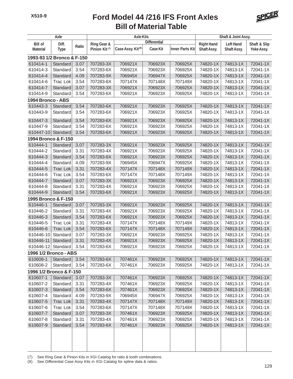

| Axle                       |                             |              |                           | <b>Axle Kits</b>              |                     | Shaft & Joint Assy.    |                      |                      |                      |
|----------------------------|-----------------------------|--------------|---------------------------|-------------------------------|---------------------|------------------------|----------------------|----------------------|----------------------|
| <b>Bill of</b>             | Diff.                       |              | Ring Gear &               |                               | <b>Differential</b> |                        | <b>Right Hand</b>    | <b>Left Hand</b>     | Shaft & Slip         |
| <b>Material</b>            | <b>Type</b>                 | Ratio        | Pinion Kit <sup>(7)</sup> | Case Assy. Kit <sup>(8)</sup> | <b>Case Kit</b>     | <b>Inner Parts Kit</b> | <b>Shaft Assy.</b>   | Shaft Assy.          | Yoke Assy.           |
| 1993-93 1/2 Bronco & F-150 |                             |              |                           |                               |                     |                        |                      |                      |                      |
| 610414-1                   | Standard                    | 3.07         | 707283-3X                 | 706921X                       | 706923X             | 706925X                | 74820-1X             | 74813-1X             | 72041-1X             |
| 610414-3                   | Standard                    | 3.54         | 707283-6X                 | 706921X                       | 706923X             | 706925X                | 74820-1X             | 74813-1X             | 72041-1X             |
| 610414-4                   | Standard                    | 4.09         | 707283-9X                 | 706945X                       | 706947X             | 706925X                | 74820-1X             | 74813-1X             | 72041-1X             |
| 610414-6                   | <b>Trac Lok</b>             | 3.54         | 707283-6X                 | 707147X                       | 707148X             | 707149X                | 74820-1X             | 74813-1X             | 72041-1X             |
| 610414-7                   | Standard                    | 3.07         | 707283-3X                 | 706921X                       | 706923X             | 706925X                | 74820-1X             | 74813-1X             | 72041-1X             |
| 610414-9                   | Standard                    | 3.54         | 707283-6X                 | 706921X                       | 706923X             | 706925X                | 74820-1X             | 74813-1X             | 72041-1X             |
| 1994 Bronco - ABS          |                             |              |                           |                               |                     |                        |                      |                      |                      |
| 610443-3                   | Standard                    | 3.54         | 707283-6X                 | 706921X                       | 706923X             | 706925X                | 74820-1X             | 74813-1X             | 72041-1X             |
| 610443-9                   | Standard                    | 3.54         | 707283-6X                 | 706921X                       | 706923X             | 706925X                | 74820-1X             | 74813-1X             | 72041-1X             |
| 610447-3                   | Standard                    | 3.54         | 707283-6X                 | 706921X                       | 706923X             | 706925X                | 74820-1X             | 74813-1X             | 72041-1X             |
| 610447-9                   | Standard                    | 3.54         | 707283-6X                 | 706921X                       | 706923X             | 706925X                | 74820-1X             | 74813-1X             | 72041-1X             |
| 610447-10                  | Standard                    | 3.54         | 707283-6X                 | 706921X                       | 706923X             | 706925X                | 74820-1X             | 74813-1X             | 72041-1X             |
| 1994 Bronco & F-150        |                             |              |                           |                               |                     |                        |                      |                      |                      |
| 610444-1                   | Standard                    | 3.07         | 707283-3X                 | 706921X                       | 706923X             | 706925X                | 74820-1X             | 74813-1X             | 72041-1X             |
| 610444-2                   | Standard                    | 3.31         | 707283-4X                 | 706921X                       | 706923X             | 706925X                | 74820-1X             | 74813-1X             | 72041-1X             |
| 610444-3                   | Standard                    | 3.54         | 707283-6X                 | 706921X                       | 706923X             | 706925X                | 74820-1X             | 74813-1X             | 72041-1X             |
| 610444-4                   | Standard                    | 4.09         | 707283-9X                 | 706945X                       | 706947X             | 706925X                | 74820-1X             | 74813-1X             | 72041-1X             |
| 610444-5                   | <b>Trac Lok</b>             | 3.31         | 707283-4X                 | 707147X                       | 707148X             | 707149X                | 74820-1X             | 74813-1X             | 72041-1X             |
| 610444-6                   | <b>Trac Lok</b>             | 3.54         | 707283-6X                 | 707147X                       | 707148X             | 707149X                | 74820-1X             | 74813-1X             | 72041-1X             |
| 610444-7                   | Standard                    | 3.07         | 707283-3X                 | 706921X                       | 706923X             | 706925X                | 74820-1X             | 74813-1X             | 72041-1X             |
| 610444-8                   | Standard                    | 3.31         | 707283-4X                 | 706921X                       | 706923X             | 706925X                | 74820-1X             | 74813-1X             | 72041-1X             |
| 610444-9                   | Standard                    | 3.54         | 707283-6X                 | 706921X                       | 706923X             | 706925X                | 74820-1X             | 74813-1X             | 72041-1X             |
| 1995 Bronco & F-150        |                             |              |                           |                               |                     |                        |                      |                      |                      |
| 610446-1                   | Standard                    | 3.07         | 707283-3X                 | 706921X                       | 706923X             | 706925X                | 74820-1X             | 74813-1X             | 72041-1X             |
| 610446-2                   | Standard                    | 3.31         | 707283-4X                 | 706921X                       | 706923X             | 706925X                | 74820-1X             | 74813-1X             | 72041-1X             |
| 610446-3                   | Standard                    | 3.54         | 707283-6X                 | 706921X                       | 706923X             | 706925X                | 74820-1X             | 74813-1X             | 72041-1X             |
| 610446-5                   | Trac Lok                    | 3.31         | 707283-4X                 | 707147X                       | 707148X             | 707149X                | 74820-1X             | 74813-1X             | 72041-1X             |
| 610446-6                   | <b>Trac Lok</b>             | 3.54         | 707283-6X                 | 707147X                       | 707148X             | 707149X                | 74820-1X             | 74813-1X             | 72041-1X             |
| 610446-10                  | Standard                    | 3.07         | 707283-3X                 | 706921X                       | 706923X             | 706925X                | 74820-1X             | 74813-1X             | 72041-1X             |
| 610446-11                  | Standard                    | 3.31         | 707283-4X                 | 706921X                       | 706923X             | 706925X                | 74820-1X             | 74813-1X             | 72041-1X             |
| 610446-12 Standard 3.54    |                             |              | 707283-6X                 | 706921X                       | 706923X             | 706925X                | 74820-1X             | 74813-1X             | 72041-1X             |
| 1996 1/2 Bronco - ABS      |                             |              |                           |                               |                     |                        |                      |                      |                      |
| 610608-1                   | Standard                    | 3.54         | 707283-6X                 | 707461X                       | 706923X             | 706925X                | 74820-1X             | 74813-1X             | 72041-1X             |
| 610608-2                   | Standard                    | 3.54         | 707283-6X                 | 707461X                       | 706923X             | 706925X                | 74820-1X             | 74813-1X             | 72041-1X             |
| 1996 1/2 Bronco & F-150    |                             |              |                           |                               |                     |                        |                      |                      |                      |
| 610607-1                   | Standard                    | 3.07         | 707283-3X                 | 707461X                       | 706923X             | 706925X                | 74820-1X             | 74813-1X             | 72041-1X             |
| 610607-2                   | Standard                    | 3.31         | 707283-4X                 | 707461X                       | 706923X             | 706925X                | 74820-1X             | 74813-1X             | 72041-1X             |
| 610607-3                   | Standard                    | 3.54         | 707283-6X                 | 707461X                       | 706923X             | 706925X                | 74820-1X             | 74813-1X             | 72041-1X             |
| 610607-4                   | Standard                    | 4.09         | 707283-9X                 | 706945X                       | 706947X             | 706925X                | 74820-1X             | 74813-1X             | 72041-1X             |
| 610607-5                   |                             |              | 707283-4X                 |                               |                     | 707149X                | 74820-1X             | 74813-1X             | 72041-1X             |
| 610607-6                   | <b>Trac Lok</b><br>Trac Lok | 3.31<br>3.54 | 707283-6X                 | 707147X<br>707147X            | 707148X<br>707148X  | 707149X                | 74820-1X             | 74813-1X             | 72041-1X             |
|                            |                             |              |                           |                               |                     |                        |                      |                      |                      |
| 610607-7<br>610607-8       | Standard<br>Standard        | 3.07<br>3.31 | 707283-3X<br>707283-4X    | 707461X<br>707461X            | 706923X<br>706923X  | 706925X<br>706925X     | 74820-1X<br>74820-1X | 74813-1X<br>74813-1X | 72041-1X<br>72041-1X |
| 610607-9                   |                             |              | 707283-6X                 | 707461X                       | 706923X             | 706925X                | 74820-1X             | 74813-1X             | 72041-1X             |
|                            | Standard                    | 3.54         |                           |                               |                     |                        |                      |                      |                      |

(7) See Ring Gear & Pinion Kits in XGI Catalog for ratio & tooth combinations.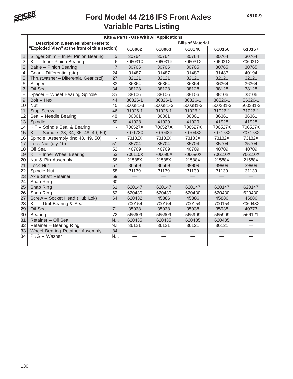

|                | Kits & Parts - Use With All Applications       |                          |          |          |                          |          |          |  |  |
|----------------|------------------------------------------------|--------------------------|----------|----------|--------------------------|----------|----------|--|--|
|                | <b>Description &amp; Item Number (Refer to</b> |                          |          |          | <b>Bills of Material</b> |          |          |  |  |
|                | "Exploded View" at the front of this section)  |                          | 610062   | 610063   | 610146                   | 610166   | 610167   |  |  |
| $\mathbf{1}$   | Slinger Shim - Inner Pinion Bearing            | 5                        | 30764    | 30764    | 30764                    | 30764    | 30764    |  |  |
| $\overline{2}$ | KIT - Inner Pinion Bearing                     | 6                        | 706031X  | 706031X  | 706031X                  | 706031X  | 706031X  |  |  |
| 3              | Baffle - Pinion Bearing                        | $\overline{7}$           | 30765    | 30765    | 30765                    | 30765    | 30765    |  |  |
| 4              | Gear - Differential (std)                      | 24                       | 31487    | 31487    | 31487                    | 31487    | 40194    |  |  |
| 5              | Thrustwasher - Differential Gear (std)         | 27                       | 32121    | 32121    | 32121                    | 32121    | 32121    |  |  |
| 6              | Slinger                                        | 33                       | 36364    | 36364    | 36364                    | 36364    | 36364    |  |  |
| $\overline{7}$ | Oil Seal                                       | 34                       | 38128    | 38128    | 38128                    | 38128    | 38128    |  |  |
| 8              | Spacer - Wheel Bearing Spindle                 | 35                       | 38106    | 38106    | 38106                    | 38106    | 38106    |  |  |
| 9              | $Bolt - Hex$                                   | 44                       | 36326-1  | 36326-1  | 36326-1                  | 36326-1  | 36326-1  |  |  |
| 10             | Nut                                            | 45                       | 500381-3 | 500381-3 | 500381-3                 | 500381-3 | 500381-3 |  |  |
| 11             | Stop Screw                                     | 46                       | 31026-1  | 31026-1  | 31026-1                  | 31026-1  | 31026-1  |  |  |
| 12             | Seal - Needle Bearing                          | 48                       | 36361    | 36361    | 36361                    | 36361    | 36361    |  |  |
| 13             | Spindle                                        | 50                       | 41928    | 41929    | 41929                    | 41928    | 41928    |  |  |
| 14             | KIT - Spindle Seal & Bearing                   | $\overline{\phantom{m}}$ | 706527X  | 706527X  | 706527X                  | 706527X  | 706527X  |  |  |
| 15             | KIT - Spindle (33, 34, 35, 48, 49, 50)         | $\overline{\phantom{a}}$ | 707178X  | 707043X  | 707043X                  | 707178X  | 707178X  |  |  |
| 16             | Spindle Assembly (inc 48, 49, 50)              | $\overline{a}$           | 73182X   | 73183X   | 73183X                   | 73182X   | 73182X   |  |  |
| 17             | Lock Nut (qty 10)                              | 51                       | 35704    | 35704    | 35704                    | 35704    | 35704    |  |  |
| 18             | Oil Seal                                       | 52                       | 40709    | 40709    | 40709                    | 40709    | 40709    |  |  |
| 19             | KIT - Inner Wheel Bearing                      | 53                       | 706110X  | 706690X  | 706690X                  | 706110X  | 706110X  |  |  |
| 20             | Nut & Pin Assembly                             | 56                       | 21588X   | 21588X   | 21588X                   | 21588X   | 21588X   |  |  |
| 21             | Lock Nut                                       | 57                       | 36569    | 36569    | 39909                    | 39909    | 39909    |  |  |
| 22             | Spindle Nut                                    | 58                       | 31139    | 31139    | 31139                    | 31139    | 31139    |  |  |
| 23             | Axle Shaft Retainer                            | 59                       |          |          |                          |          |          |  |  |
| 24             | Snap Ring                                      | 60                       |          |          |                          |          |          |  |  |
| 25             | Snap Ring                                      | 61                       | 620147   | 620147   | 620147                   | 620147   | 620147   |  |  |
| 26             | Snap Ring                                      | 62                       | 620430   | 620430   | 620430                   | 620430   | 620430   |  |  |
| 27             | Screw - Socket Head (Hub Lok)                  | 64                       | 620432   | 45886    | 45886                    | 45886    | 45886    |  |  |
| 28             | KIT - Unit Bearing & Seal                      | $\overline{a}$           | 700154   | 700154   | 700154                   | 700154   | 706948X  |  |  |
| 29             | Oil Seal                                       | 71                       | 35938    | 35938    | 35938                    | 35938    | 40773    |  |  |
| 30             | Bearing                                        | 72                       | 565909   | 565909   | 565909                   | 565909   | 566121   |  |  |
| 31             | Retainer - Oil Seal                            | N.I.                     | 620435   | 620435   | 620435                   | 620435   |          |  |  |
| 32             | Retainer - Bearing Ring                        | N.I.                     | 36121    | 36121    | 36121                    | 36121    |          |  |  |
| 33             | Wheel Bearing Retainer Assembly                | 84                       |          |          |                          |          |          |  |  |
| 34             | PKG - Washer                                   | N.I.                     |          |          |                          |          |          |  |  |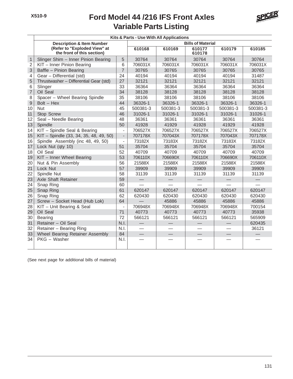

|                | Kits & Parts - Use With All Applications                   |                          |                          |                          |                          |                                |          |  |
|----------------|------------------------------------------------------------|--------------------------|--------------------------|--------------------------|--------------------------|--------------------------------|----------|--|
|                | <b>Description &amp; Item Number</b>                       |                          |                          |                          | <b>Bills of Material</b> |                                |          |  |
|                | (Refer to "Exploded View" at<br>the front of this section) |                          | 610168                   | 610169                   | 610177<br>610178         | 610179                         | 610185   |  |
| $\mathbf{1}$   | Slinger Shim - Inner Pinion Bearing                        | 5                        | 30764                    | 30764                    | 30764                    | 30764                          | 30764    |  |
| $\sqrt{2}$     | KIT - Inner Pinion Bearing                                 | 6                        | 706031X                  | 706031X                  | 706031X                  | 706031X                        | 706031X  |  |
| 3              | Baffle - Pinion Bearing                                    | $\overline{7}$           | 30765                    | 30765                    | 30765                    | 30765                          | 30765    |  |
| 4              | Gear - Differential (std)                                  | 24                       | 40194                    | 40194                    | 40194                    | 40194                          | 31487    |  |
| 5              | Thrustwasher - Differential Gear (std)                     | 27                       | 32121                    | 32121                    | 32121                    | 32121                          | 32121    |  |
| 6              | Slinger                                                    | 33                       | 36364                    | 36364                    | 36364                    | 36364                          | 36364    |  |
| $\overline{7}$ | Oil Seal                                                   | 34                       | 38128                    | 38128                    | 38128                    | 38128                          | 38128    |  |
| 8              | Spacer - Wheel Bearing Spindle                             | 35                       | 38106                    | 38106                    | 38106                    | 38106                          | 38106    |  |
| $\overline{9}$ | Bolt - Hex                                                 | 44                       | 36326-1                  | 36326-1                  | 36326-1                  | 36326-1                        | 36326-1  |  |
| 10             | Nut                                                        | 45                       | 500381-3                 | 500381-3                 | 500381-3                 | 500381-3                       | 500381-3 |  |
| 11             | Stop Screw                                                 | 46                       | 31026-1                  | 31026-1                  | 31026-1                  | 31026-1                        | 31026-1  |  |
| 12             | Seal - Needle Bearing                                      | 48                       | 36361                    | 36361                    | 36361                    | 36361                          | 36361    |  |
| 13             | Spindle                                                    | 50                       | 41928                    | 41929                    | 41928                    | 41929                          | 41928    |  |
| 14             | KIT - Spindle Seal & Bearing                               | $\overline{\phantom{a}}$ | 706527X                  | 706527X                  | 706527X                  | 706527X                        | 706527X  |  |
| 15             | KIT - Spindle (33, 34, 35, 48, 49, 50)                     | $\blacksquare$           | 707178X                  | 707043X                  | 707178X                  | 707043X                        | 707178X  |  |
| 16             | Spindle Assembly (inc 48, 49, 50)                          | $\overline{\phantom{a}}$ | 73182X                   | 73183X                   | 73182X                   | 73183X                         | 73182X   |  |
| 17             | Lock Nut (qty 10)                                          | 51                       | 35704                    | 35704                    | 35704                    | 35704                          | 35704    |  |
| 18             | Oil Seal                                                   | 52                       | 40709                    | 40709                    | 40709                    | 40709                          | 40709    |  |
| 19             | KIT - Inner Wheel Bearing                                  | 53                       | 706110X                  | 706690X                  | 706110X                  | 706690X                        | 706110X  |  |
| 20             | Nut & Pin Assembly                                         | 56                       | 21588X                   | 21588X                   | 21588X                   | 21588X                         | 21588X   |  |
| 21             | Lock Nut                                                   | 57                       | 39909                    | 39909                    | 39909                    | 39909                          | 39909    |  |
| 22             | Spindle Nut                                                | 58                       | 31139                    | 31139                    | 31139                    | 31139                          | 31139    |  |
| 23             | <b>Axle Shaft Retainer</b>                                 | 59                       |                          |                          |                          |                                |          |  |
| 24             | Snap Ring                                                  | 60                       |                          |                          |                          |                                |          |  |
| 25             | Snap Ring                                                  | 61                       | 620147                   | 620147                   | 620147                   | 620147                         | 620147   |  |
| 26             | Snap Ring                                                  | 62                       | 620430                   | 620430                   | 620430                   | 620430                         | 620430   |  |
| 27             | Screw - Socket Head (Hub Lok)                              | 64                       |                          | 45886                    | 45886                    | 45886                          | 45886    |  |
| 28             | KIT - Unit Bearing & Seal                                  |                          | 706948X                  | 706948X                  | 706948X                  | 706948X                        | 700154   |  |
| 29             | Oil Seal                                                   | 71                       | 40773                    | 40773                    | 40773                    | 40773                          | 35938    |  |
| 30             | Bearing                                                    | 72                       | 566121                   | 566121                   | 566121                   | 566121                         | 565909   |  |
| 31             | Retainer - Oil Seal                                        | N.I.                     |                          |                          |                          | $\overbrace{\phantom{123331}}$ | 620435   |  |
| 32             | Retainer - Bearing Ring                                    | N.I.                     |                          |                          |                          |                                | 36121    |  |
| 33             | Wheel Bearing Retainer Assembly                            | 84                       | $\overline{\phantom{0}}$ | $\overline{\phantom{0}}$ |                          | $\overline{\phantom{0}}$       |          |  |
| 34             | PKG - Washer                                               | N.I.                     |                          |                          |                          |                                |          |  |

(See next page for additional bills of material)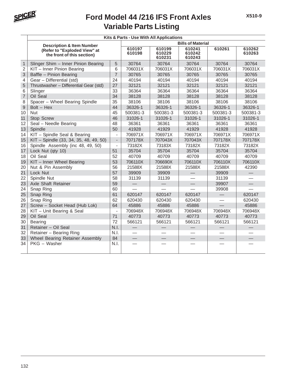

|                | Kits & Parts - Use With All Applications                   |                |                   |                            |                            |                          |                          |  |  |  |
|----------------|------------------------------------------------------------|----------------|-------------------|----------------------------|----------------------------|--------------------------|--------------------------|--|--|--|
|                | <b>Description &amp; Item Number</b>                       |                |                   |                            | <b>Bills of Material</b>   |                          |                          |  |  |  |
|                | (Refer to "Exploded View" at<br>the front of this section) |                | 610197<br>610198  | 610199<br>610229<br>610231 | 610241<br>610242<br>610243 | 610261                   | 610262<br>610263         |  |  |  |
| $\mathbf{1}$   | Slinger Shim - Inner Pinion Bearing                        | 5              | 30764             | 30764                      | 30764                      | 30764                    | 30764                    |  |  |  |
| $\overline{2}$ | KIT - Inner Pinion Bearing                                 | 6              | 706031X           | 706031X                    | 706031X                    | 706031X                  | 706031X                  |  |  |  |
| 3              | Baffle - Pinion Bearing                                    | $\overline{7}$ | 30765             | 30765                      | 30765                      | 30765                    | 30765                    |  |  |  |
| 4              | Gear - Differential (std)                                  | 24             | 40194             | 40194                      | 40194                      | 40194                    | 40194                    |  |  |  |
| 5              | Thrustwasher - Differential Gear (std)                     | 27             | 32121             | 32121                      | 32121                      | 32121                    | 32121                    |  |  |  |
| 6              | Slinger                                                    | 33             | 36364             | 36364                      | 36364                      | 36364                    | 36364                    |  |  |  |
| $\overline{7}$ | Oil Seal                                                   | 34             | 38128             | 38128                      | 38128                      | 38128                    | 38128                    |  |  |  |
| 8              | Spacer - Wheel Bearing Spindle                             | 35             | 38106             | 38106                      | 38106                      | 38106                    | 38106                    |  |  |  |
| $\mathsf 9$    | $Bolt - Hex$                                               | 44             | 36326-1           | 36326-1                    | 36326-1                    | 36326-1                  | 36326-1                  |  |  |  |
| 10             | <b>Nut</b>                                                 | 45             | 500381-3          | 500381-3                   | 500381-3                   | 500381-3                 | 500381-3                 |  |  |  |
| 11             | <b>Stop Screw</b>                                          | 46             | 31026-1           | 31026-1                    | 31026-1                    | 31026-1                  | 31026-1                  |  |  |  |
| 12             | Seal - Needle Bearing                                      | 48             | 36361             | 36361                      | 36361                      | 36361                    | 36361                    |  |  |  |
| 13             | Spindle                                                    | 50             | 41928             | 41929                      | 41929                      | 41928                    | 41928                    |  |  |  |
| 14             | KIT - Spindle Seal & Bearing                               | $\overline{a}$ | 706971X           | 706971X                    | 706971X                    | 706971X                  | 706971X                  |  |  |  |
| 15             | KIT - Spindle (33, 34, 35, 48, 49, 50)                     | $\overline{a}$ | 707178X           | 707043X                    | 707043X                    | 707178X                  | 707178X                  |  |  |  |
| 16             | Spindle Assembly (inc 48, 49, 50)                          | $\overline{a}$ | 73182X            | 73183X                     | 73182X                     | 73182X                   | 73182X                   |  |  |  |
| 17             | Lock Nut (qty 10)                                          | 51             | 35704             | 35704                      | 35704                      | 35704                    | 35704                    |  |  |  |
| 18             | Oil Seal                                                   | 52             | 40709             | 40709                      | 40709                      | 40709                    | 40709                    |  |  |  |
| 19             | KIT - Inner Wheel Bearing                                  | 53             | 706110X           | 706690X                    | 706110X                    | 706110X                  | 706110X                  |  |  |  |
| 20             | Nut & Pin Assembly                                         | 56             | 21588X            | 21588X                     | 21588X                     | 21588X                   | 42390                    |  |  |  |
| 21             | Lock Nut                                                   | 57             | 39909             | 39909                      |                            | 39909                    |                          |  |  |  |
| 22             | Spindle Nut                                                | 58             | 31139             | 31139                      |                            | 31139                    |                          |  |  |  |
| 23             | Axle Shaft Retainer                                        | 59             |                   |                            |                            | 39907                    |                          |  |  |  |
| 24             | Snap Ring                                                  | 60             |                   |                            |                            | 39908                    |                          |  |  |  |
| 25             | Snap Ring                                                  | 61             | 620147            | 620147                     | 620147                     | $\overline{\phantom{0}}$ | 620147                   |  |  |  |
| 26             | Snap Ring                                                  | 62             | 620430            | 620430                     | 620430                     | $\equiv$                 | 620430                   |  |  |  |
| 27             | Screw - Socket Head (Hub Lok)                              | 64             | 45886             | 45886                      | 45886                      |                          | 45886                    |  |  |  |
| 28             | KIT - Unit Bearing & Seal                                  | $\overline{a}$ | 706948X           | 706948X                    | 706948X                    | 706948X                  | 706948X                  |  |  |  |
| 29             | Oil Seal                                                   | 71             | 40773             | 40773                      | 40773                      | 40773                    | 40773                    |  |  |  |
| 30             | Bearing                                                    | 72             | 566121            | 566121                     | 566121                     | 566121                   | 566121                   |  |  |  |
| 31             | Retainer - Oil Seal                                        | N.I.           |                   |                            |                            |                          |                          |  |  |  |
| 32             | Retainer - Bearing Ring                                    | N.I.           |                   |                            |                            |                          |                          |  |  |  |
| 33             | Wheel Bearing Retainer Assembly                            | 84             | $\qquad \qquad -$ |                            | $\qquad \qquad$            | $\overline{\phantom{0}}$ | $\overline{\phantom{0}}$ |  |  |  |
| 34             | PKG - Washer                                               | N.I.           |                   |                            |                            |                          |                          |  |  |  |
|                |                                                            |                |                   |                            |                            |                          |                          |  |  |  |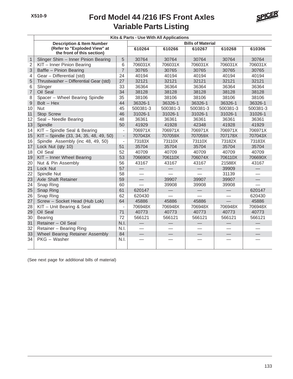

|                | Kits & Parts - Use With All Applications                   |                          |                   |                          |                          |                          |          |  |  |
|----------------|------------------------------------------------------------|--------------------------|-------------------|--------------------------|--------------------------|--------------------------|----------|--|--|
|                | <b>Description &amp; Item Number</b>                       |                          |                   |                          | <b>Bills of Material</b> |                          |          |  |  |
|                | (Refer to "Exploded View" at<br>the front of this section) |                          | 610264            | 610266                   | 610267                   | 610268                   | 610306   |  |  |
| $\mathbf{1}$   | Slinger Shim - Inner Pinion Bearing                        | 5                        | 30764             | 30764                    | 30764                    | 30764                    | 30764    |  |  |
| $\sqrt{2}$     | KIT - Inner Pinion Bearing                                 | 6                        | 706031X           | 706031X                  | 706031X                  | 706031X                  | 706031X  |  |  |
| 3              | Baffle - Pinion Bearing                                    | $\overline{7}$           | 30765             | 30765                    | 30765                    | 30765                    | 30765    |  |  |
| 4              | Gear - Differential (std)                                  | 24                       | 40194             | 40194                    | 40194                    | 40194                    | 40194    |  |  |
| 5              | Thrustwasher - Differential Gear (std)                     | 27                       | 32121             | 32121                    | 32121                    | 32121                    | 32121    |  |  |
| $\,6\,$        | Slinger                                                    | 33                       | 36364             | 36364                    | 36364                    | 36364                    | 36364    |  |  |
| $\overline{7}$ | Oil Seal                                                   | 34                       | 38128             | 38128                    | 38128                    | 38128                    | 38128    |  |  |
| 8              | Spacer - Wheel Bearing Spindle                             | 35                       | 38106             | 38106                    | 38106                    | 38106                    | 38106    |  |  |
| $\mathsf 9$    | $Bolt - Hex$                                               | 44                       | 36326-1           | 36326-1                  | 36326-1                  | 36326-1                  | 36326-1  |  |  |
| 10             | <b>Nut</b>                                                 | 45                       | 500381-3          | 500381-3                 | 500381-3                 | 500381-3                 | 500381-3 |  |  |
| 11             | Stop Screw                                                 | 46                       | 31026-1           | 31026-1                  | 31026-1                  | 31026-1                  | 31026-1  |  |  |
| 12             | Seal - Needle Bearing                                      | 48                       | 36361             | 36361                    | 36361                    | 36361                    | 36361    |  |  |
| 13             | Spindle                                                    | 50                       | 41929             | 41928                    | 42348                    | 41928                    | 41929    |  |  |
| 14             | KIT - Spindle Seal & Bearing                               | $\frac{1}{2}$            | 706971X           | 706971X                  | 706971X                  | 706971X                  | 706971X  |  |  |
| 15             | KIT - Spindle (33, 34, 35, 48, 49, 50)                     | $\overline{\phantom{a}}$ | 707043X           | 707059X                  | 707059X                  | 707178X                  | 707043X  |  |  |
| 16             | Spindle Assembly (inc 48, 49, 50)                          | $\frac{1}{2}$            | 73183X            | 73110X                   | 73110X                   | 73182X                   | 73183X   |  |  |
| 17             | Lock Nut (qty 10)                                          | 51                       | 35704             | 35704                    | 35704                    | 35704                    | 35704    |  |  |
| 18             | Oil Seal                                                   | 52                       | 40709             | 40709                    | 40709                    | 40709                    | 40709    |  |  |
| 19             | KIT - Inner Wheel Bearing                                  | 53                       | 706690X           | 706110X                  | 706074X                  | 706110X                  | 706690X  |  |  |
| 20             | Nut & Pin Assembly                                         | 56                       | 43167             | 43167                    | 43167                    | 21588X                   | 43167    |  |  |
| 21             | Lock Nut                                                   | 57                       |                   |                          |                          | 39909                    |          |  |  |
| 22             | Spindle Nut                                                | 58                       |                   |                          |                          | 31139                    |          |  |  |
| 23             | <b>Axle Shaft Retainer</b>                                 | 59                       | $\qquad \qquad -$ | 39907                    | 39907                    | 39907                    |          |  |  |
| 24             | Snap Ring                                                  | 60                       |                   | 39908                    | 39908                    | 39908                    |          |  |  |
| 25             | Snap Ring                                                  | 61                       | 620147            | $\overline{\phantom{0}}$ |                          | $\overline{\phantom{0}}$ | 620147   |  |  |
| 26             | Snap Ring                                                  | 62                       | 620430            |                          |                          |                          | 620430   |  |  |
| 27             | Screw - Socket Head (Hub Lok)                              | 64                       | 45886             | 45886                    | 45886                    |                          | 45886    |  |  |
| 28             | KIT - Unit Bearing & Seal                                  |                          | 706948X           | 706948X                  | 706948X                  | 706948X                  | 706948X  |  |  |
| 29             | Oil Seal                                                   | 71                       | 40773             | 40773                    | 40773                    | 40773                    | 40773    |  |  |
| 30             | <b>Bearing</b>                                             | 72                       | 566121            | 566121                   | 566121                   | 566121                   | 566121   |  |  |
| 31             | Retainer - Oil Seal                                        | N.I.                     |                   |                          |                          |                          |          |  |  |
| 32             | Retainer - Bearing Ring                                    | N.I.                     |                   |                          |                          |                          |          |  |  |
| 33             | <b>Wheel Bearing Retainer Assembly</b>                     | 84                       | $\qquad \qquad$   |                          |                          |                          |          |  |  |
| 34             | PKG - Washer                                               | N.I.                     |                   |                          |                          |                          |          |  |  |

(See next page for additional bills of material)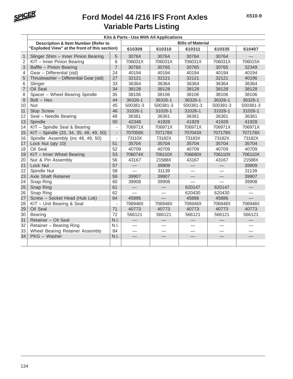

|                | Kits & Parts - Use With All Applications       |                          |                          |                          |                          |                          |          |  |  |
|----------------|------------------------------------------------|--------------------------|--------------------------|--------------------------|--------------------------|--------------------------|----------|--|--|
|                | <b>Description &amp; Item Number (Refer to</b> |                          |                          |                          | <b>Bills of Material</b> |                          |          |  |  |
|                | "Exploded View" at the front of this section)  |                          | 610309                   | 610310                   | 610311                   | 610335                   | 610407   |  |  |
| $\mathbf{1}$   | Slinger Shim - Inner Pinion Bearing            | 5                        | 30764                    | 30764                    | 30764                    | 30764                    |          |  |  |
| 2              | KIT - Inner Pinion Bearing                     | 6                        | 706031X                  | 706031X                  | 706031X                  | 706031X                  | 706015X  |  |  |
| 3              | Baffle - Pinion Bearing                        | $\overline{7}$           | 30765                    | 30765                    | 30765                    | 30765                    | 32349    |  |  |
| 4              | Gear - Differential (std)                      | 24                       | 40194                    | 40194                    | 40194                    | 40194                    | 40194    |  |  |
| 5              | Thrustwasher - Differential Gear (std)         | 27                       | 32121                    | 32121                    | 32121                    | 32121                    | 40196    |  |  |
| 6              | Slinger                                        | 33                       | 36364                    | 36364                    | 36364                    | 36364                    | 36364    |  |  |
| $\overline{7}$ | Oil Seal                                       | 34                       | 38128                    | 38128                    | 38128                    | 38128                    | 38128    |  |  |
| 8              | Spacer - Wheel Bearing Spindle                 | 35                       | 38106                    | 38106                    | 38106                    | 38106                    | 38106    |  |  |
| $\overline{9}$ | $Bolt - Hex$                                   | 44                       | 36326-1                  | 36326-1                  | 36326-1                  | 36326-1                  | 36326-1  |  |  |
| 10             | <b>Nut</b>                                     | 45                       | 500381-3                 | 500381-3                 | 500381-3                 | 500381-3                 | 500381-3 |  |  |
| 11             | <b>Stop Screw</b>                              | 46                       | 31026-1                  | 31026-1                  | 31026-1                  | 31026-1                  | 31026-1  |  |  |
| 12             | Seal - Needle Bearing                          | 48                       | 36361                    | 36361                    | 36361                    | 36361                    | 36361    |  |  |
| 13             | Spindle                                        | 50                       | 42348                    | 41928                    | 41929                    | 41928                    | 41928    |  |  |
| 14             | KIT - Spindle Seal & Bearing                   | $\overline{a}$           | 706971X                  | 706971X                  | 706971X                  | 706971X                  | 706971X  |  |  |
| 15             | KIT - Spindle (33, 34, 35, 48, 49, 50)         | $\overline{\phantom{a}}$ | 707059X                  | 707178X                  | 707043X                  | 707178X                  | 707178X  |  |  |
| 16             | Spindle Assembly (inc 48, 49, 50)              | $\overline{\phantom{0}}$ | 73110X                   | 73182X                   | 73183X                   | 73182X                   | 73182X   |  |  |
| 17             | Lock Nut (qty 10)                              | 51                       | 35704                    | 35704                    | 35704                    | 35704                    | 35704    |  |  |
| 18             | Oil Seal                                       | 52                       | 40709                    | 40709                    | 40709                    | 40709                    | 40709    |  |  |
| 19             | KIT - Inner Wheel Bearing                      | 53                       | 706074X                  | 706110X                  | 706690X                  | 706110X                  | 706110X  |  |  |
| 20             | Nut & Pin Assembly                             | 56                       | 43167                    | 21588X                   | 43167                    | 43167                    | 21588X   |  |  |
| 21             | Lock Nut                                       | 57                       |                          | 39909                    |                          |                          | 39909    |  |  |
| 22             | Spindle Nut                                    | 58                       |                          | 31139                    |                          |                          | 31139    |  |  |
| 23             | Axle Shaft Retainer                            | 59                       | 39907                    | 39907                    | $\qquad \qquad$          |                          | 39907    |  |  |
| 24             | Snap Ring                                      | 60                       | 39908                    | 39908                    |                          |                          | 39908    |  |  |
| 25             | Snap Ring                                      | 61                       |                          |                          | 620147                   | 620147                   |          |  |  |
| 26             | Snap Ring                                      | 62                       |                          | $\overline{\phantom{0}}$ | 620430                   | 620430                   | e e      |  |  |
| 27             | Screw - Socket Head (Hub Lok)                  | 64                       | 45886                    |                          | 45886                    | 45886                    |          |  |  |
| 28             | KIT - Unit Bearing & Seal                      | $\overline{a}$           | 706948X                  | 706948X                  | 706948X                  | 706948X                  | 706948X  |  |  |
| 29             | Oil Seal                                       | 71                       | 40773                    | 40773                    | 40773                    | 40773                    | 40773    |  |  |
| 30             | <b>Bearing</b>                                 | 72                       | 566121                   | 566121                   | 566121                   | 566121                   | 566121   |  |  |
| 31             | Retainer - Oil Seal                            | N.I.                     |                          |                          |                          |                          |          |  |  |
| 32             | Retainer - Bearing Ring                        | N.I.                     |                          |                          |                          |                          |          |  |  |
| 33             | Wheel Bearing Retainer Assembly                | 84                       | $\overline{\phantom{0}}$ |                          |                          | $\overline{\phantom{0}}$ |          |  |  |
| 34             | PKG - Washer                                   | N.I.                     |                          |                          |                          |                          |          |  |  |
|                |                                                |                          |                          |                          |                          |                          |          |  |  |
|                |                                                |                          |                          |                          |                          |                          |          |  |  |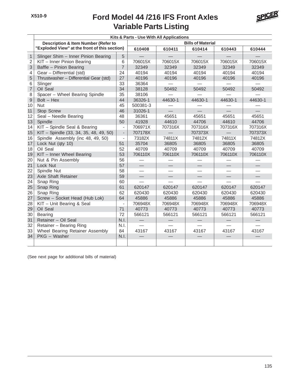

|                | Kits & Parts - Use With All Applications       |                          |                          |         |         |                          |         |  |  |  |
|----------------|------------------------------------------------|--------------------------|--------------------------|---------|---------|--------------------------|---------|--|--|--|
|                | <b>Description &amp; Item Number (Refer to</b> | <b>Bills of Material</b> |                          |         |         |                          |         |  |  |  |
|                | "Exploded View" at the front of this section)  |                          | 610408                   | 610411  | 610414  | 610443                   | 610444  |  |  |  |
| $\mathbf{1}$   | Slinger Shim - Inner Pinion Bearing            | 5                        |                          |         |         |                          |         |  |  |  |
| $\overline{2}$ | KIT - Inner Pinion Bearing                     | 6                        | 706015X                  | 706015X | 706015X | 706015X                  | 706015X |  |  |  |
| $\mathsf 3$    | Baffle - Pinion Bearing                        | $\overline{7}$           | 32349                    | 32349   | 32349   | 32349                    | 32349   |  |  |  |
| 4              | Gear - Differential (std)                      | 24                       | 40194                    | 40194   | 40194   | 40194                    | 40194   |  |  |  |
| 5              | Thrustwasher - Differential Gear (std)         | 27                       | 40196                    | 40196   | 40196   | 40196                    | 40196   |  |  |  |
| 6              | Slinger                                        | 33                       | 36364                    |         |         |                          |         |  |  |  |
| $\overline{7}$ | Oil Seal                                       | 34                       | 38128                    | 50492   | 50492   | 50492                    | 50492   |  |  |  |
| 8              | Spacer - Wheel Bearing Spindle                 | 35                       | 38106                    |         |         |                          |         |  |  |  |
| $\mathsf{9}$   | $Bolt - Hex$                                   | 44                       | 36326-1                  | 44630-1 | 44630-1 | 44630-1                  | 44630-1 |  |  |  |
| 10             | <b>Nut</b>                                     | 45                       | 500381-3                 |         |         |                          |         |  |  |  |
| 11             | Stop Screw                                     | 46                       | 31026-1                  |         |         |                          |         |  |  |  |
| 12             | Seal - Needle Bearing                          | 48                       | 36361                    | 45651   | 45651   | 45651                    | 45651   |  |  |  |
| 13             | Spindle                                        | 50                       | 41928                    | 44610   | 44706   | 44610                    | 44706   |  |  |  |
| 14             | KIT - Spindle Seal & Bearing                   | $\overline{\phantom{a}}$ | 706971X                  | 707316X | 707316X | 707316X                  | 707316X |  |  |  |
| 15             | KIT - Spindle (33, 34, 35, 48, 49, 50)         | $\blacksquare$           | 707178X                  |         | 707373X |                          | 707373X |  |  |  |
| 16             | Spindle Assembly (inc 48, 49, 50)              | $\overline{\phantom{a}}$ | 73182X                   | 74811X  | 74812X  | 74811X                   | 74812X  |  |  |  |
| 17             | Lock Nut (qty 10)                              | 51                       | 35704                    | 36805   | 36805   | 36805                    | 36805   |  |  |  |
| 18             | Oil Seal                                       | 52                       | 40709                    | 40709   | 40709   | 40709                    | 40709   |  |  |  |
| 19             | KIT - Inner Wheel Bearing                      | 53                       | 706110X                  | 706110X | 706110X | 706110X                  | 706110X |  |  |  |
| 20             | Nut & Pin Assembly                             | 56                       |                          |         |         |                          |         |  |  |  |
| 21             | Lock Nut                                       | 57                       |                          |         |         |                          |         |  |  |  |
| 22             | Spindle Nut                                    | 58                       | $\overline{\phantom{0}}$ | —       |         | $\overline{\phantom{0}}$ |         |  |  |  |
| 23             | <b>Axle Shaft Retainer</b>                     | 59                       | $\equiv$                 |         |         |                          |         |  |  |  |
| 24             | Snap Ring                                      | 60                       |                          |         |         |                          |         |  |  |  |
| 25             | Snap Ring                                      | 61                       | 620147                   | 620147  | 620147  | 620147                   | 620147  |  |  |  |
| 26             | Snap Ring                                      | 62                       | 620430                   | 620430  | 620430  | 620430                   | 620430  |  |  |  |
| 27             | Screw - Socket Head (Hub Lok)                  | 64                       | 45886                    | 45886   | 45886   | 45886                    | 45886   |  |  |  |
| 28             | KIT - Unit Bearing & Seal                      | $\overline{a}$           | 706948X                  | 706948X | 706948X | 706948X                  | 706948X |  |  |  |
| 29             | Oil Seal                                       | 71                       | 40773                    | 40773   | 40773   | 40773                    | 40773   |  |  |  |
| 30             | <b>Bearing</b>                                 | 72                       | 566121                   | 566121  | 566121  | 566121                   | 566121  |  |  |  |
| 31             | Retainer - Oil Seal                            | N.I.                     |                          |         |         |                          |         |  |  |  |
| 32             | Retainer - Bearing Ring                        | N.I.                     |                          |         |         |                          |         |  |  |  |
| 33             | Wheel Bearing Retainer Assembly                | 84                       | 43167                    | 43167   | 43167   | 43167                    | 43167   |  |  |  |
| 34             | PKG - Washer                                   | N.I.                     |                          |         |         |                          |         |  |  |  |
|                |                                                |                          |                          |         |         |                          |         |  |  |  |
|                |                                                |                          |                          |         |         |                          |         |  |  |  |

(See next page for additional bills of material)